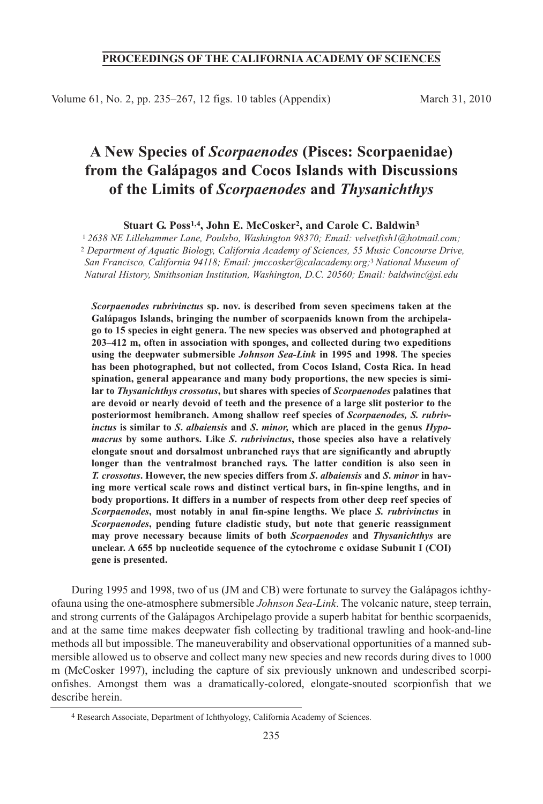## **PROCEEDINGS OF THE CALIFORNIA ACADEMY OF SCIENCES**

Volume 61, No. 2, pp. 235–267, 12 figs. 10 tables (Appendix) March 31, 2010

## **A New Species of** *Scorpaenodes* **(Pisces: Scorpaenidae) from the Galápagos and Cocos Islands with Discussions of the Limits of** *Scorpaenodes* **and** *Thysanichthys*

**Stuart G. Poss1,4, John E. McCosker2, and Carole C. Baldwin3**

<sup>1</sup> *2638 NE Lillehammer Lane, Poulsbo, Washington 98370; Email: velvetfish1@hotmail.com;* <sup>2</sup> *Department of Aquatic Biology, California Academy of Sciences, 55 Music Concourse Drive, San Francisco, California 94118; Email: jmccosker@calacademy.org;*<sup>3</sup> *National Museum of Natural History, Smithsonian Institution, Washington, D.C. 20560; Email: baldwinc@si.edu*

*Scorpaenodes rubrivinctus* **sp. nov. is described from seven specimens taken at the Galápagos Islands, bringing the number of scorpaenids known from the archipelago to 15 species in eight genera. The new species was observed and photographed at 203–412 m, often in association with sponges, and collected during two expeditions using the deepwater submersible** *Johnson Sea-Link* **in 1995 and 1998. The species has been photographed, but not collected, from Cocos Island, Costa Rica. In head spination, general appearance and many body proportions, the new species is similar to** *Thysanichthys crossotus***, but shares with species of** *Scorpaenodes* **palatines that are devoid or nearly devoid of teeth and the presence of a large slit posterior to the posteriormost hemibranch. Among shallow reef species of** *Scorpaenodes, S. rubrivinctus* **is similar to** *S***.** *albaiensis* **and** *S***.** *minor,* **which are placed in the genus** *Hypomacrus* **by some authors. Like** *S***.** *rubrivinctus***, those species also have a relatively elongate snout and dorsalmost unbranched rays that are significantly and abruptly longer than the ventralmost branched rays***.* **The latter condition is also seen in** *T. crossotus***. However, the new species differs from** *S***.** *albaiensis* **and** *S***.** *minor* **in having more vertical scale rows and distinct vertical bars, in fin-spine lengths, and in body proportions. It differs in a number of respects from other deep reef species of** *Scorpaenodes***, most notably in anal fin-spine lengths. We place** *S. rubrivinctus* **in** *Scorpaenodes***, pending future cladistic study, but note that generic reassignment may prove necessary because limits of both** *Scorpaenodes* **and** *Thysanichthys* **are unclear. A 655 bp nucleotide sequence of the cytochrome c oxidase Subunit I (COI) gene is presented.**

During 1995 and 1998, two of us (JM and CB) were fortunate to survey the Galápagos ichthyofauna using the one-atmosphere submersible *Johnson Sea-Link*. The volcanic nature, steep terrain, and strong currents of the Galápagos Archipelago provide a superb habitat for benthic scorpaenids, and at the same time makes deepwater fish collecting by traditional trawling and hook-and-line methods all but impossible. The maneuverability and observational opportunities of a manned submersible allowed us to observe and collect many new species and new records during dives to 1000 m (McCosker 1997), including the capture of six previously unknown and undescribed scorpionfishes. Amongst them was a dramatically-colored, elongate-snouted scorpionfish that we describe herein.

<sup>4</sup> Research Associate, Department of Ichthyology, California Academy of Sciences.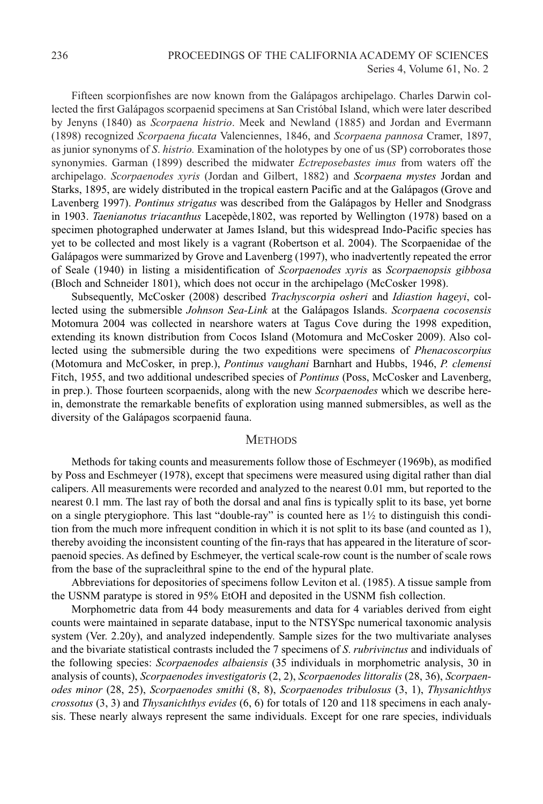## 236 PROCEEDINGS OF THE CALIFORNIA ACADEMY OF SCIENCES Series 4, Volume 61, No. 2

Fifteen scorpionfishes are now known from the Galápagos archipelago. Charles Darwin collected the first Galápagos scorpaenid specimens at San Cristóbal Island, which were later described by Jenyns (1840) as *Scorpaena histrio*. Meek and Newland (1885) and Jordan and Evermann (1898) recognized *Scorpaena fucata* Valenciennes, 1846, and *Scorpaena pannosa* Cramer, 1897, as junior synonyms of *S*. *histrio.* Examination of the holotypes by one of us (SP) corroborates those synonymies. Garman (1899) described the midwater *Ectreposebastes imus* from waters off the archipelago. *Scorpaenodes xyris* (Jordan and Gilbert, 1882) and *Scorpaena mystes* Jordan and Starks, 1895, are widely distributed in the tropical eastern Pacific and at the Galápagos (Grove and Lavenberg 1997). *Pontinus strigatus* was described from the Galápagos by Heller and Snodgrass in 1903. *Taenianotus triacanthus* Lacepède,1802, was reported by Wellington (1978) based on a specimen photographed underwater at James Island, but this widespread Indo-Pacific species has yet to be collected and most likely is a vagrant (Robertson et al. 2004). The Scorpaenidae of the Galápagos were summarized by Grove and Lavenberg (1997), who inadvertently repeated the error of Seale (1940) in listing a misidentification of *Scorpaenodes xyris* as *Scorpaenopsis gibbosa* (Bloch and Schneider 1801), which does not occur in the archipelago (McCosker 1998).

Subsequently, McCosker (2008) described *Trachyscorpia osheri* and *Idiastion hageyi*, collected using the submersible *Johnson Sea-Link* at the Galápagos Islands. *Scorpaena cocosensis* Motomura 2004 was collected in nearshore waters at Tagus Cove during the 1998 expedition, extending its known distribution from Cocos Island (Motomura and McCosker 2009). Also collected using the submersible during the two expeditions were specimens of *Phenacoscorpius* (Motomura and McCosker, in prep.), *Pontinus vaughani* Barnhart and Hubbs, 1946, *P. clemensi* Fitch, 1955, and two additional undescribed species of *Pontinus* (Poss, McCosker and Lavenberg, in prep.). Those fourteen scorpaenids, along with the new *Scorpaenodes* which we describe herein, demonstrate the remarkable benefits of exploration using manned submersibles, as well as the diversity of the Galápagos scorpaenid fauna.

## **METHODS**

Methods for taking counts and measurements follow those of Eschmeyer (1969b), as modified by Poss and Eschmeyer (1978), except that specimens were measured using digital rather than dial calipers. All measurements were recorded and analyzed to the nearest 0.01 mm, but reported to the nearest 0.1 mm. The last ray of both the dorsal and anal fins is typically split to its base, yet borne on a single pterygiophore. This last "double-ray" is counted here as  $1\frac{1}{2}$  to distinguish this condition from the much more infrequent condition in which it is not split to its base (and counted as 1), thereby avoiding the inconsistent counting of the fin-rays that has appeared in the literature of scorpaenoid species. As defined by Eschmeyer, the vertical scale-row count is the number of scale rows from the base of the supracleithral spine to the end of the hypural plate.

Abbreviations for depositories of specimens follow Leviton et al. (1985). A tissue sample from the USNM paratype is stored in 95% EtOH and deposited in the USNM fish collection.

Morphometric data from 44 body measurements and data for 4 variables derived from eight counts were maintained in separate database, input to the NTSYSpc numerical taxonomic analysis system (Ver. 2.20y), and analyzed independently. Sample sizes for the two multivariate analyses and the bivariate statistical contrasts included the 7 specimens of *S*. *rubrivinctus* and individuals of the following species: *Scorpaenodes albaiensis* (35 individuals in morphometric analysis, 30 in analysis of counts), *Scorpaenodes investigatoris* (2, 2), *Scorpaenodes littoralis* (28, 36), *Scorpaenodes minor* (28, 25), *Scorpaenodes smithi* (8, 8), *Scorpaenodes tribulosus* (3, 1), *Thysanichthys crossotus* (3, 3) and *Thysanichthys evides* (6, 6) for totals of 120 and 118 specimens in each analysis. These nearly always represent the same individuals. Except for one rare species, individuals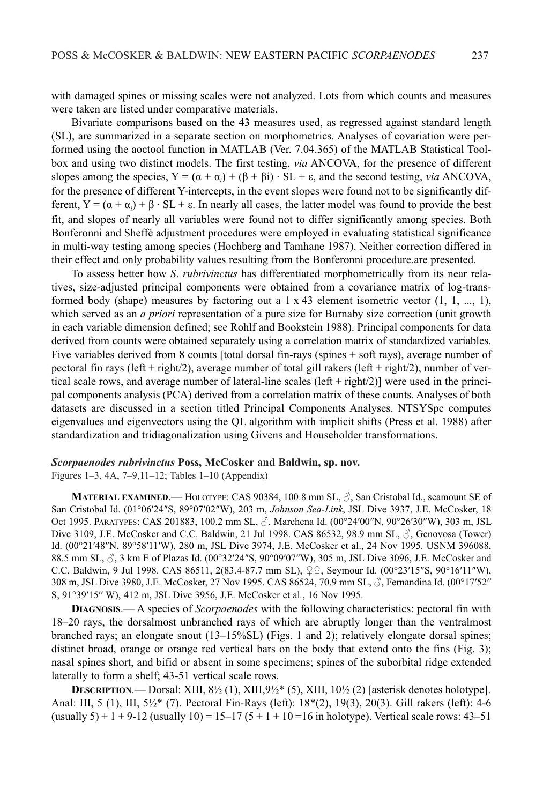with damaged spines or missing scales were not analyzed. Lots from which counts and measures were taken are listed under comparative materials.

Bivariate comparisons based on the 43 measures used, as regressed against standard length (SL), are summarized in a separate section on morphometrics. Analyses of covariation were performed using the aoctool function in MATLAB (Ver. 7.04.365) of the MATLAB Statistical Toolbox and using two distinct models. The first testing, *via* ANCOVA, for the presence of different slopes among the species,  $Y = (\alpha + \alpha_i) + (\beta + \beta i) \cdot SL + \varepsilon$ , and the second testing, *via* ANCOVA, for the presence of different Y-intercepts, in the event slopes were found not to be significantly different,  $Y = (\alpha + \alpha_i) + \beta \cdot SL + \varepsilon$ . In nearly all cases, the latter model was found to provide the best fit, and slopes of nearly all variables were found not to differ significantly among species. Both Bonferonni and Sheffé adjustment procedures were employed in evaluating statistical significance in multi-way testing among species (Hochberg and Tamhane 1987). Neither correction differed in their effect and only probability values resulting from the Bonferonni procedure.are presented.

To assess better how *S*. *rubrivinctus* has differentiated morphometrically from its near relatives, size-adjusted principal components were obtained from a covariance matrix of log-transformed body (shape) measures by factoring out a  $1 \times 43$  element isometric vector  $(1, 1, ..., 1)$ , which served as an *a priori* representation of a pure size for Burnaby size correction (unit growth in each variable dimension defined; see Rohlf and Bookstein 1988). Principal components for data derived from counts were obtained separately using a correlation matrix of standardized variables. Five variables derived from 8 counts [total dorsal fin-rays (spines + soft rays), average number of pectoral fin rays (left + right/2), average number of total gill rakers (left + right/2), number of vertical scale rows, and average number of lateral-line scales  $(\text{left} + \text{right}/2)$ ] were used in the principal components analysis (PCA) derived from a correlation matrix of these counts. Analyses of both datasets are discussed in a section titled Principal Components Analyses. NTSYSpc computes eigenvalues and eigenvectors using the QL algorithm with implicit shifts (Press et al. 1988) after standardization and tridiagonalization using Givens and Householder transformations.

#### *Scorpaenodes rubrivinctus* **Poss, McCosker and Baldwin, sp. nov.**

Figures 1–3, 4A, 7–9,11–12; Tables 1–10 (Appendix)

**MATERIAL EXAMINED**.— HOLOTYPE: CAS 90384, 100.8 mm SL, ♂, San Cristobal Id., seamount SE of San Cristobal Id. (01°06′24″S, 89°07′02″W), 203 m, *Johnson Sea-Link*, JSL Dive 3937, J.E. McCosker, 18 Oct 1995. PARATYPES: CAS 201883, 100.2 mm SL, ♂, Marchena Id. (00°24′00″N, 90°26′30″W), 303 m, JSL Dive 3109, J.E. McCosker and C.C. Baldwin, 21 Jul 1998. CAS 86532, 98.9 mm SL,  $\Im$ , Genovosa (Tower) Id. (00°21′48″N, 89°58′11′W), 280 m, JSL Dive 3974, J.E. McCosker et al., 24 Nov 1995. USNM 396088, 88.5 mm SL, ♂, 3 km E of Plazas Id. (00°32′24″S, 90°09′07″W), 305 m, JSL Dive 3096, J.E. McCosker and C.C. Baldwin, 9 Jul 1998. CAS 86511, 2(83.4-87.7 mm SL), ♀♀, Seymour Id. (00°23′15″S, 90°16′11″W), 308 m, JSL Dive 3980, J.E. McCosker, 27 Nov 1995. CAS 86524, 70.9 mm SL, ♂, Fernandina Id. (00°17′52′′ S, 91°39′15′′ W), 412 m, JSL Dive 3956, J.E. McCosker et al*.*, 16 Nov 1995.

**DIAGNOSIS**.— A species of *Scorpaenodes* with the following characteristics: pectoral fin with 18–20 rays, the dorsalmost unbranched rays of which are abruptly longer than the ventralmost branched rays; an elongate snout (13–15%SL) (Figs. 1 and 2); relatively elongate dorsal spines; distinct broad, orange or orange red vertical bars on the body that extend onto the fins (Fig. 3); nasal spines short, and bifid or absent in some specimens; spines of the suborbital ridge extended laterally to form a shelf; 43-51 vertical scale rows.

**DESCRIPTION**.— Dorsal: XIII, 8½ (1), XIII,9½\* (5), XIII, 10½ (2) [asterisk denotes holotype]. Anal: III, 5 (1), III, 5½\* (7). Pectoral Fin-Rays (left): 18\*(2), 19(3), 20(3). Gill rakers (left): 4-6 (usually  $5$ ) + 1 + 9-12 (usually  $10$ ) = 15-17 (5 + 1 + 10 = 16 in holotype). Vertical scale rows: 43-51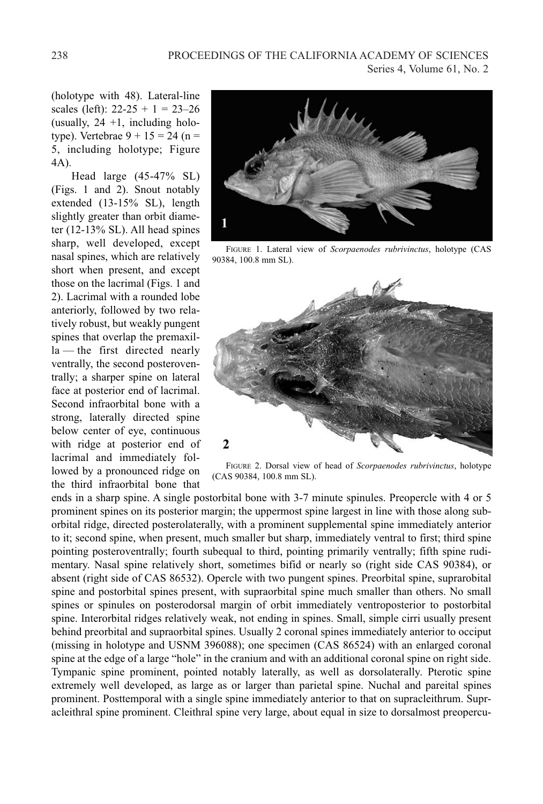(holotype with 48). Lateral-line scales (left):  $22-25 + 1 = 23-26$ (usually,  $24 + 1$ , including holotype). Vertebrae  $9 + 15 = 24$  (n = 5, including holotype; Figure 4A).

Head large (45-47% SL) (Figs. 1 and 2). Snout notably extended (13-15% SL), length slightly greater than orbit diameter (12-13% SL). All head spines sharp, well developed, except nasal spines, which are relatively short when present, and except those on the lacrimal (Figs. 1 and 2). Lacrimal with a rounded lobe anteriorly, followed by two relatively robust, but weakly pungent spines that overlap the premaxilla — the first directed nearly ventrally, the second posteroventrally; a sharper spine on lateral face at posterior end of lacrimal. Second infraorbital bone with a strong, laterally directed spine below center of eye, continuous with ridge at posterior end of lacrimal and immediately followed by a pronounced ridge on the third infraorbital bone that



FIGURE 1. Lateral view of *Scorpaenodes rubrivinctus*, holotype (CAS 90384, 100.8 mm SL).



FIGURE 2. Dorsal view of head of *Scorpaenodes rubrivinctus*, holotype (CAS 90384, 100.8 mm SL).

ends in a sharp spine. A single postorbital bone with 3-7 minute spinules. Preopercle with 4 or 5 prominent spines on its posterior margin; the uppermost spine largest in line with those along suborbital ridge, directed posterolaterally, with a prominent supplemental spine immediately anterior to it; second spine, when present, much smaller but sharp, immediately ventral to first; third spine pointing posteroventrally; fourth subequal to third, pointing primarily ventrally; fifth spine rudimentary. Nasal spine relatively short, sometimes bifid or nearly so (right side CAS 90384), or absent (right side of CAS 86532). Opercle with two pungent spines. Preorbital spine, suprarobital spine and postorbital spines present, with supraorbital spine much smaller than others. No small spines or spinules on posterodorsal margin of orbit immediately ventroposterior to postorbital spine. Interorbital ridges relatively weak, not ending in spines. Small, simple cirri usually present behind preorbital and supraorbital spines. Usually 2 coronal spines immediately anterior to occiput (missing in holotype and USNM 396088); one specimen (CAS 86524) with an enlarged coronal spine at the edge of a large "hole" in the cranium and with an additional coronal spine on right side. Tympanic spine prominent, pointed notably laterally, as well as dorsolaterally. Pterotic spine extremely well developed, as large as or larger than parietal spine. Nuchal and pareital spines prominent. Posttemporal with a single spine immediately anterior to that on supracleithrum. Supracleithral spine prominent. Cleithral spine very large, about equal in size to dorsalmost preopercu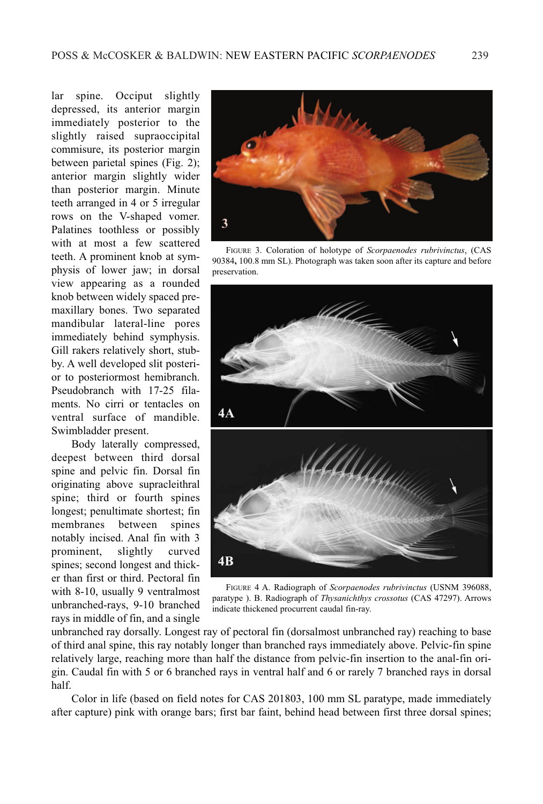lar spine. Occiput slightly depressed, its anterior margin immediately posterior to the slightly raised supraoccipital commisure, its posterior margin between parietal spines (Fig. 2); anterior margin slightly wider than posterior margin. Minute teeth arranged in 4 or 5 irregular rows on the V-shaped vomer. Palatines toothless or possibly with at most a few scattered teeth. A prominent knob at symphysis of lower jaw; in dorsal view appearing as a rounded knob between widely spaced premaxillary bones. Two separated mandibular lateral-line pores immediately behind symphysis. Gill rakers relatively short, stubby. A well developed slit posterior to posteriormost hemibranch. Pseudobranch with 17-25 filaments. No cirri or tentacles on ventral surface of mandible. Swimbladder present.

Body laterally compressed, deepest between third dorsal spine and pelvic fin. Dorsal fin originating above supracleithral spine; third or fourth spines longest; penultimate shortest; fin membranes between spines notably incised. Anal fin with 3 prominent, slightly curved spines; second longest and thicker than first or third. Pectoral fin with 8-10, usually 9 ventralmost unbranched-rays, 9-10 branched rays in middle of fin, and a single



FIGURE 3. Coloration of holotype of *Scorpaenodes rubrivinctus*, (CAS 90384**,** 100.8 mm SL). Photograph was taken soon after its capture and before preservation.



FIGURE 4 A. Radiograph of *Scorpaenodes rubrivinctus* (USNM 396088, paratype ). B. Radiograph of *Thysanichthys crossotus* (CAS 47297). Arrows indicate thickened procurrent caudal fin-ray.

unbranched ray dorsally. Longest ray of pectoral fin (dorsalmost unbranched ray) reaching to base of third anal spine, this ray notably longer than branched rays immediately above. Pelvic-fin spine relatively large, reaching more than half the distance from pelvic-fin insertion to the anal-fin origin. Caudal fin with 5 or 6 branched rays in ventral half and 6 or rarely 7 branched rays in dorsal half.

Color in life (based on field notes for CAS 201803, 100 mm SL paratype, made immediately after capture) pink with orange bars; first bar faint, behind head between first three dorsal spines;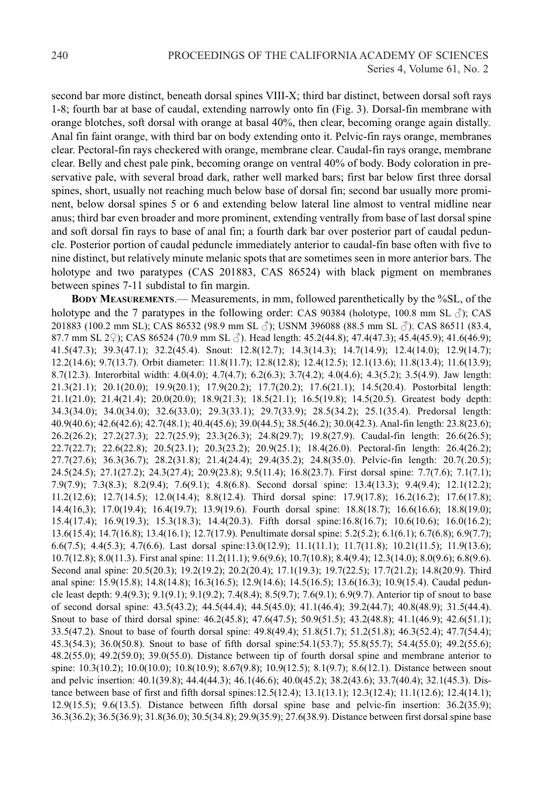second bar more distinct, beneath dorsal spines VIII-X; third bar distinct, between dorsal soft rays 1-8; fourth bar at base of caudal, extending narrowly onto fin (Fig. 3). Dorsal-fin membrane with orange blotches, soft dorsal with orange at basal 40%, then clear, becoming orange again distally. Anal fin faint orange, with third bar on body extending onto it. Pelvic-fin rays orange, membranes clear. Pectoral-fin rays checkered with orange, membrane clear. Caudal-fin rays orange, membrane clear. Belly and chest pale pink, becoming orange on ventral 40% of body. Body coloration in preservative pale, with several broad dark, rather well marked bars; first bar below first three dorsal spines, short, usually not reaching much below base of dorsal fin; second bar usually more prominent, below dorsal spines 5 or 6 and extending below lateral line almost to ventral midline near anus; third bar even broader and more prominent, extending ventrally from base of last dorsal spine and soft dorsal fin rays to base of anal fin; a fourth dark bar over posterior part of caudal peduncle. Posterior portion of caudal peduncle immediately anterior to caudal-fin base often with five to nine distinct, but relatively minute melanic spots that are sometimes seen in more anterior bars. The holotype and two paratypes (CAS 201883, CAS 86524) with black pigment on membranes between spines 7-11 subdistal to fin margin.

**BODY MEASUREMENTS**.— Measurements, in mm, followed parenthetically by the %SL, of the holotype and the 7 paratypes in the following order: CAS 90384 (holotype, 100.8 mm SL  $\delta$ ); CAS 201883 (100.2 mm SL); CAS 86532 (98.9 mm SL ♂); USNM 396088 (88.5 mm SL ♂); CAS 86511 (83.4, 87.7 mm SL 2♀); CAS 86524 (70.9 mm SL 3). Head length: 45.2(44.8); 47.4(47.3); 45.4(45.9); 41.6(46.9); 41.5(47.3); 39.3(47.1); 32.2(45.4). Snout: 12.8(12.7); 14.3(14.3); 14.7(14.9); 12.4(14.0); 12.9(14.7); 12.2(14.6); 9.7(13.7). Orbit diameter: 11.8(11.7); 12.8(12.8); 12.4(12.5); 12.1(13.6); 11.8(13.4); 11.6(13.9); 8.7(12.3). Interorbital width: 4.0(4.0); 4.7(4.7); 6.2(6.3); 3.7(4.2); 4.0(4.6); 4.3(5.2); 3.5(4.9). Jaw length: 21.3(21.1); 20.1(20.0); 19.9(20.1); 17.9(20.2); 17.7(20.2); 17.6(21.1); 14.5(20.4). Postorbital length: 21.1(21.0); 21.4(21.4); 20.0(20.0); 18.9(21.3); 18.5(21.1); 16.5(19.8); 14.5(20.5). Greatest body depth: 34.3(34.0); 34.0(34.0); 32.6(33.0); 29.3(33.1); 29.7(33.9); 28.5(34.2); 25.1(35.4). Predorsal length: 40.9(40.6); 42.6(42.6); 42.7(48.1); 40.4(45.6); 39.0(44.5); 38.5(46.2); 30.0(42.3). Anal-fin length: 23.8(23.6); 26.2(26.2); 27.2(27.3); 22.7(25.9); 23.3(26.3); 24.8(29.7); 19.8(27.9). Caudal-fin length: 26.6(26.5); 22.7(22.7); 22.6(22.8); 20.5(23.1); 20.3(23.2); 20.9(25.1); 18.4(26.0). Pectoral-fin length: 26.4(26.2); 27.7(27.6); 36.3(36.7); 28.2(31.8); 21.4(24.4); 29.4(35.2); 24.8(35.0). Pelvic-fin length: 20.7(.20.5); 24.5(24.5); 27.1(27.2); 24.3(27.4); 20.9(23.8); 9.5(11.4); 16.8(23.7). First dorsal spine: 7.7(7.6); 7.1(7.1); 7.9(7.9); 7.3(8.3); 8.2(9.4); 7.6(9.1); 4.8(6.8). Second dorsal spine: 13.4(13.3); 9.4(9.4); 12.1(12.2); 11.2(12.6); 12.7(14.5); 12.0(14.4); 8.8(12.4). Third dorsal spine: 17.9(17.8); 16.2(16.2); 17.6(17.8); 14.4(16,3); 17.0(19.4); 16.4(19.7); 13.9(19.6). Fourth dorsal spine: 18.8(18.7); 16.6(16.6); 18.8(19.0); 15.4(17.4); 16.9(19.3); 15.3(18.3); 14.4(20.3). Fifth dorsal spine:16.8(16.7); 10.6(10.6); 16.0(16.2); 13.6(15.4); 14.7(16.8); 13.4(16.1); 12.7(17.9). Penultimate dorsal spine: 5.2(5.2); 6.1(6.1); 6.7(6.8); 6.9(7.7); 6.6(7.5); 4.4(5.3); 4.7(6.6). Last dorsal spine:13.0(12.9); 11.1(11.1); 11.7(11.8); 10.21(11.5); 11.9(13.6); 10.7(12.8); 8.0(11.3). First anal spine: 11.2(11.1); 9.6(9.6); 10.7(10.8); 8.4(9.4); 12.3(14.0); 8.0(9.6); 6.8(9.6). Second anal spine: 20.5(20.3); 19.2(19.2); 20.2(20.4); 17.1(19.3); 19.7(22.5); 17.7(21.2); 14.8(20.9). Third anal spine: 15.9(15.8); 14.8(14.8); 16.3(16.5); 12.9(14.6); 14.5(16.5); 13.6(16.3); 10.9(15.4). Caudal peduncle least depth: 9.4(9.3); 9.1(9.1); 9.1(9.2); 7.4(8.4); 8.5(9.7); 7.6(9.1); 6.9(9.7). Anterior tip of snout to base of second dorsal spine: 43.5(43.2); 44.5(44.4); 44.5(45.0); 41.1(46.4); 39.2(44.7); 40.8(48.9); 31.5(44.4). Snout to base of third dorsal spine: 46.2(45.8); 47.6(47.5); 50.9(51.5); 43.2(48.8); 41.1(46.9); 42.6(51.1); 33.5(47.2). Snout to base of fourth dorsal spine: 49.8(49.4); 51.8(51.7); 51.2(51.8); 46.3(52.4); 47.7(54.4); 45.3(54.3); 36.0(50.8). Snout to base of fifth dorsal spine:54.1(53.7); 55.8(55.7); 54.4(55.0); 49.2(55.6); 48.2(55.0); 49.2(59.0); 39.0(55.0). Distance between tip of fourth dorsal spine and membrane anterior to spine: 10.3(10.2); 10.0(10.0); 10.8(10.9); 8.67(9.8); 10.9(12.5); 8.1(9.7); 8.6(12.1). Distance between snout and pelvic insertion: 40.1(39.8); 44.4(44.3); 46.1(46.6); 40.0(45.2); 38.2(43.6); 33.7(40.4); 32.1(45.3). Distance between base of first and fifth dorsal spines:12.5(12.4); 13.1(13.1); 12.3(12.4); 11.1(12.6); 12.4(14.1); 12.9(15.5); 9.6(13.5). Distance between fifth dorsal spine base and pelvic-fin insertion: 36.2(35.9); 36.3(36.2); 36.5(36.9); 31.8(36.0); 30.5(34.8); 29.9(35.9); 27.6(38.9). Distance between first dorsal spine base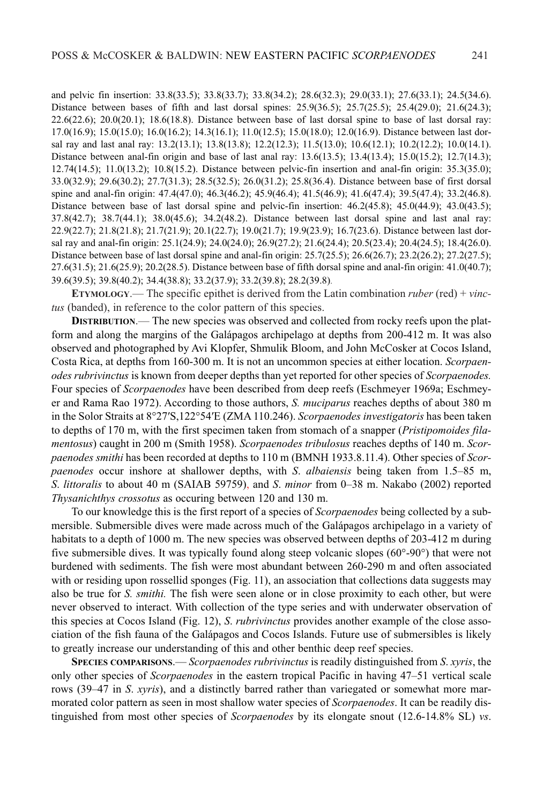and pelvic fin insertion: 33.8(33.5); 33.8(33.7); 33.8(34.2); 28.6(32.3); 29.0(33.1); 27.6(33.1); 24.5(34.6). Distance between bases of fifth and last dorsal spines: 25.9(36.5); 25.7(25.5); 25.4(29.0); 21.6(24.3); 22.6(22.6); 20.0(20.1); 18.6(18.8). Distance between base of last dorsal spine to base of last dorsal ray: 17.0(16.9); 15.0(15.0); 16.0(16.2); 14.3(16.1); 11.0(12.5); 15.0(18.0); 12.0(16.9). Distance between last dorsal ray and last anal ray: 13.2(13.1); 13.8(13.8); 12.2(12.3); 11.5(13.0); 10.6(12.1); 10.2(12.2); 10.0(14.1). Distance between anal-fin origin and base of last anal ray: 13.6(13.5); 13.4(13.4); 15.0(15.2); 12.7(14.3); 12.74(14.5); 11.0(13.2); 10.8(15.2). Distance between pelvic-fin insertion and anal-fin origin: 35.3(35.0); 33.0(32.9); 29.6(30.2); 27.7(31.3); 28.5(32.5); 26.0(31.2); 25.8(36.4). Distance between base of first dorsal spine and anal-fin origin: 47.4(47.0); 46.3(46.2); 45.9(46.4); 41.5(46.9); 41.6(47.4); 39.5(47.4); 33.2(46.8). Distance between base of last dorsal spine and pelvic-fin insertion: 46.2(45.8); 45.0(44.9); 43.0(43.5); 37.8(42.7); 38.7(44.1); 38.0(45.6); 34.2(48.2). Distance between last dorsal spine and last anal ray: 22.9(22.7); 21.8(21.8); 21.7(21.9); 20.1(22.7); 19.0(21.7); 19.9(23.9); 16.7(23.6). Distance between last dorsal ray and anal-fin origin: 25.1(24.9); 24.0(24.0); 26.9(27.2); 21.6(24.4); 20.5(23.4); 20.4(24.5); 18.4(26.0). Distance between base of last dorsal spine and anal-fin origin: 25.7(25.5); 26.6(26.7); 23.2(26.2); 27.2(27.5); 27.6(31.5); 21.6(25.9); 20.2(28.5). Distance between base of fifth dorsal spine and anal-fin origin: 41.0(40.7); 39.6(39.5); 39.8(40.2); 34.4(38.8); 33.2(37.9); 33.2(39.8); 28.2(39.8).

**ETYMOLOGY**.— The specific epithet is derived from the Latin combination *ruber* (red) + *vinctus* (banded), in reference to the color pattern of this species.

**DISTRIBUTION.**— The new species was observed and collected from rocky reefs upon the platform and along the margins of the Galápagos archipelago at depths from 200-412 m. It was also observed and photographed by Avi Klopfer, Shmulik Bloom, and John McCosker at Cocos Island, Costa Rica, at depths from 160-300 m. It is not an uncommon species at either location. *Scorpaenodes rubrivinctus* is known from deeper depths than yet reported for other species of *Scorpaenodes.* Four species of *Scorpaenodes* have been described from deep reefs (Eschmeyer 1969a; Eschmeyer and Rama Rao 1972). According to those authors, *S. muciparus* reaches depths of about 380 m in the Solor Straits at 8°27′S,122°54′E (ZMA 110.246). *Scorpaenodes investigatoris* has been taken to depths of 170 m, with the first specimen taken from stomach of a snapper (*Pristipomoides filamentosus*) caught in 200 m (Smith 1958). *Scorpaenodes tribulosus* reaches depths of 140 m. *Scorpaenodes smithi* has been recorded at depths to 110 m (BMNH 1933.8.11.4). Other species of *Scorpaenodes* occur inshore at shallower depths, with *S*. *albaiensis* being taken from 1.5–85 m, *S*. *littoralis* to about 40 m (SAIAB 59759), and *S*. *minor* from 0–38 m. Nakabo (2002) reported *Thysanichthys crossotus* as occuring between 120 and 130 m.

To our knowledge this is the first report of a species of *Scorpaenodes* being collected by a submersible. Submersible dives were made across much of the Galápagos archipelago in a variety of habitats to a depth of 1000 m. The new species was observed between depths of 203-412 m during five submersible dives. It was typically found along steep volcanic slopes (60°-90°) that were not burdened with sediments. The fish were most abundant between 260-290 m and often associated with or residing upon rossellid sponges (Fig. 11), an association that collections data suggests may also be true for *S. smithi.* The fish were seen alone or in close proximity to each other, but were never observed to interact. With collection of the type series and with underwater observation of this species at Cocos Island (Fig. 12), *S*. *rubrivinctus* provides another example of the close association of the fish fauna of the Galápagos and Cocos Islands. Future use of submersibles is likely to greatly increase our understanding of this and other benthic deep reef species.

**SPECIES COMPARISONS**.— *Scorpaenodes rubrivinctus* is readily distinguished from *S*. *xyris*, the only other species of *Scorpaenodes* in the eastern tropical Pacific in having 47–51 vertical scale rows (39–47 in *S. xyris*), and a distinctly barred rather than variegated or somewhat more marmorated color pattern as seen in most shallow water species of *Scorpaenodes*. It can be readily distinguished from most other species of *Scorpaenodes* by its elongate snout (12.6-14.8% SL) *vs*.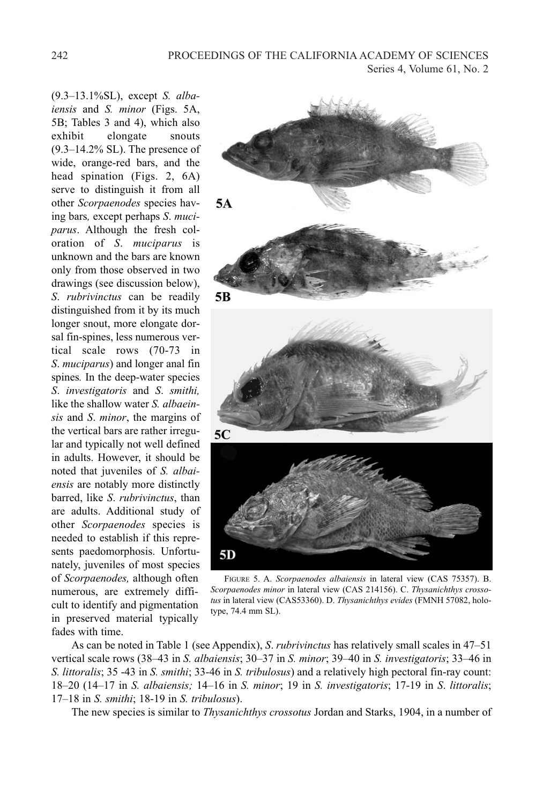(9.3–13.1%SL), except *S. albaiensis* and *S. minor* (Figs. 5A, 5B; Tables 3 and 4), which also exhibit elongate snouts (9.3–14.2% SL). The presence of wide, orange-red bars, and the head spination (Figs. 2, 6A) serve to distinguish it from all other *Scorpaenodes* species having bars*,* except perhaps *S*. *muciparus*. Although the fresh coloration of *S*. *muciparus* is unknown and the bars are known only from those observed in two drawings (see discussion below), *S*. *rubrivinctus* can be readily distinguished from it by its much longer snout, more elongate dorsal fin-spines, less numerous vertical scale rows (70-73 in *S*. *muciparus*) and longer anal fin spines*.* In the deep-water species *S*. *investigatoris* and *S*. *smithi,* like the shallow water *S. albaeinsis* and *S*. *minor*, the margins of the vertical bars are rather irregular and typically not well defined in adults. However, it should be noted that juveniles of *S. albaiensis* are notably more distinctly barred, like *S*. *rubrivinctus*, than are adults. Additional study of other *Scorpaenodes* species is needed to establish if this represents paedomorphosis. Unfortunately, juveniles of most species of *Scorpaenodes,* although often numerous, are extremely difficult to identify and pigmentation in preserved material typically fades with time.



FIGURE 5. A. *Scorpaenodes albaiensis* in lateral view (CAS 75357). B. *Scorpaenodes minor* in lateral view (CAS 214156). C. *Thysanichthys crossotus* in lateral view (CAS53360). D. *Thysanichthys evides* (FMNH 57082, holotype, 74.4 mm SL).

As can be noted in Table 1 (see Appendix), *S*. *rubrivinctus* has relatively small scales in 47–51 vertical scale rows (38–43 in *S. albaiensis*; 30–37 in *S. minor*; 39–40 in *S. investigatoris*; 33–46 in *S. littoralis*; 35 -43 in *S. smithi*; 33-46 in *S. tribulosus*) and a relatively high pectoral fin-ray count: 18–20 (14–17 in *S. albaiensis;* 14–16 in *S. minor*; 19 in *S. investigatoris*; 17-19 in *S*. *littoralis*; 17–18 in *S. smithi*; 18-19 in *S. tribulosus*).

The new species is similar to *Thysanichthys crossotus* Jordan and Starks, 1904, in a number of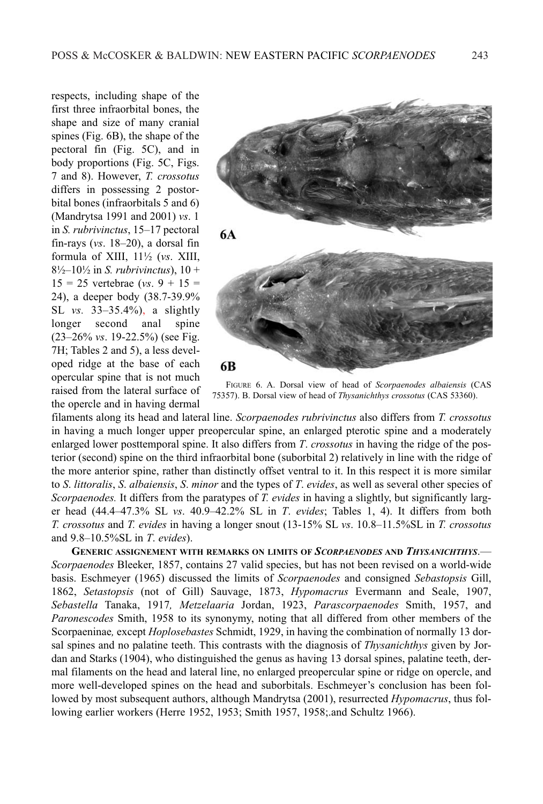respects, including shape of the first three infraorbital bones, the shape and size of many cranial spines (Fig. 6B), the shape of the pectoral fin (Fig. 5C), and in body proportions (Fig. 5C, Figs. 7 and 8). However, *T. crossotus* differs in possessing 2 postorbital bones (infraorbitals 5 and 6) (Mandrytsa 1991 and 2001) *vs*. 1 in *S. rubrivinctus*, 15–17 pectoral fin-rays (*vs*. 18–20), a dorsal fin formula of XIII, 11½ (*vs*. XIII, 8½–10½ in *S. rubrivinctus*), 10 +  $15 = 25$  vertebrae (*vs.* 9 + 15 = 24), a deeper body (38.7-39.9% SL *vs.* 33–35.4%), a slightly longer second anal spine (23–26% *vs*. 19-22.5%) (see Fig. 7H; Tables 2 and 5), a less developed ridge at the base of each opercular spine that is not much raised from the lateral surface of the opercle and in having dermal



FIGURE 6. A. Dorsal view of head of *Scorpaenodes albaiensis* (CAS 75357). B. Dorsal view of head of *Thysanichthys crossotus* (CAS 53360).

filaments along its head and lateral line. *Scorpaenodes rubrivinctus* also differs from *T. crossotus* in having a much longer upper preopercular spine, an enlarged pterotic spine and a moderately enlarged lower posttemporal spine. It also differs from *T*. *crossotus* in having the ridge of the posterior (second) spine on the third infraorbital bone (suborbital 2) relatively in line with the ridge of the more anterior spine, rather than distinctly offset ventral to it. In this respect it is more similar to *S*. *littoralis*, *S*. *albaiensis*, *S*. *minor* and the types of *T*. *evides*, as well as several other species of *Scorpaenodes.* It differs from the paratypes of *T. evides* in having a slightly, but significantly larger head (44.4–47.3% SL *vs*. 40.9–42.2% SL in *T*. *evides*; Tables 1, 4). It differs from both *T. crossotus* and *T. evides* in having a longer snout (13-15% SL *vs*. 10.8–11.5%SL in *T. crossotus* and 9.8–10.5%SL in *T*. *evides*).

**GENERIC ASSIGNEMENT WITH REMARKS ON LIMITS OF** *SCORPAENODES* **AND** *THYSANICHTHYS*.— *Scorpaenodes* Bleeker, 1857, contains 27 valid species, but has not been revised on a world-wide basis. Eschmeyer (1965) discussed the limits of *Scorpaenodes* and consigned *Sebastopsis* Gill, 1862, *Setastopsis* (not of Gill) Sauvage, 1873, *Hypomacrus* Evermann and Seale, 1907, *Sebastella* Tanaka, 1917*, Metzelaaria* Jordan, 1923, *Parascorpaenodes* Smith, 1957, and *Paronescodes* Smith, 1958 to its synonymy, noting that all differed from other members of the Scorpaeninae*,* except *Hoplosebastes* Schmidt, 1929, in having the combination of normally 13 dorsal spines and no palatine teeth. This contrasts with the diagnosis of *Thysanichthys* given by Jordan and Starks (1904), who distinguished the genus as having 13 dorsal spines, palatine teeth, dermal filaments on the head and lateral line, no enlarged preopercular spine or ridge on opercle, and more well-developed spines on the head and suborbitals. Eschmeyer's conclusion has been followed by most subsequent authors, although Mandrytsa (2001), resurrected *Hypomacrus*, thus following earlier workers (Herre 1952, 1953; Smith 1957, 1958;.and Schultz 1966).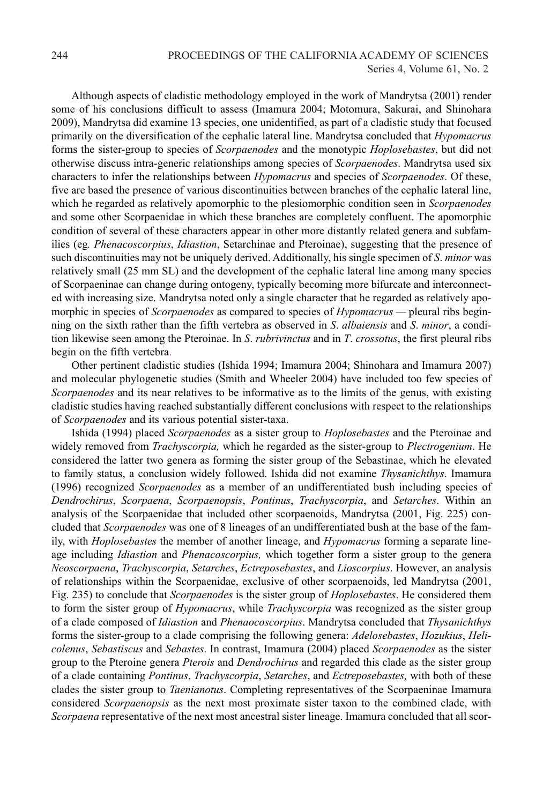Although aspects of cladistic methodology employed in the work of Mandrytsa (2001) render some of his conclusions difficult to assess (Imamura 2004; Motomura, Sakurai, and Shinohara 2009), Mandrytsa did examine 13 species, one unidentified, as part of a cladistic study that focused primarily on the diversification of the cephalic lateral line. Mandrytsa concluded that *Hypomacrus* forms the sister-group to species of *Scorpaenodes* and the monotypic *Hoplosebastes*, but did not otherwise discuss intra-generic relationships among species of *Scorpaenodes*. Mandrytsa used six characters to infer the relationships between *Hypomacrus* and species of *Scorpaenodes*. Of these, five are based the presence of various discontinuities between branches of the cephalic lateral line, which he regarded as relatively apomorphic to the plesiomorphic condition seen in *Scorpaenodes* and some other Scorpaenidae in which these branches are completely confluent. The apomorphic condition of several of these characters appear in other more distantly related genera and subfamilies (eg*. Phenacoscorpius*, *Idiastion*, Setarchinae and Pteroinae), suggesting that the presence of such discontinuities may not be uniquely derived. Additionally, his single specimen of *S*. *minor* was relatively small (25 mm SL) and the development of the cephalic lateral line among many species of Scorpaeninae can change during ontogeny, typically becoming more bifurcate and interconnected with increasing size. Mandrytsa noted only a single character that he regarded as relatively apomorphic in species of *Scorpaenodes* as compared to species of *Hypomacrus —* pleural ribs beginning on the sixth rather than the fifth vertebra as observed in *S*. *albaiensis* and *S*. *minor*, a condition likewise seen among the Pteroinae. In *S*. *rubrivinctus* and in *T*. *crossotus*, the first pleural ribs begin on the fifth vertebra.

Other pertinent cladistic studies (Ishida 1994; Imamura 2004; Shinohara and Imamura 2007) and molecular phylogenetic studies (Smith and Wheeler 2004) have included too few species of *Scorpaenodes* and its near relatives to be informative as to the limits of the genus, with existing cladistic studies having reached substantially different conclusions with respect to the relationships of *Scorpaenodes* and its various potential sister-taxa.

Ishida (1994) placed *Scorpaenodes* as a sister group to *Hoplosebastes* and the Pteroinae and widely removed from *Trachyscorpia,* which he regarded as the sister-group to *Plectrogenium*. He considered the latter two genera as forming the sister group of the Sebastinae, which he elevated to family status, a conclusion widely followed. Ishida did not examine *Thysanichthys*. Imamura (1996) recognized *Scorpaenodes* as a member of an undifferentiated bush including species of *Dendrochirus*, *Scorpaena*, *Scorpaenopsis*, *Pontinus*, *Trachyscorpia*, and *Setarches*. Within an analysis of the Scorpaenidae that included other scorpaenoids, Mandrytsa (2001, Fig. 225) concluded that *Scorpaenodes* was one of 8 lineages of an undifferentiated bush at the base of the family, with *Hoplosebastes* the member of another lineage, and *Hypomacrus* forming a separate lineage including *Idiastion* and *Phenacoscorpius,* which together form a sister group to the genera *Neoscorpaena*, *Trachyscorpia*, *Setarches*, *Ectreposebastes*, and *Lioscorpius*. However, an analysis of relationships within the Scorpaenidae, exclusive of other scorpaenoids, led Mandrytsa (2001, Fig. 235) to conclude that *Scorpaenodes* is the sister group of *Hoplosebastes*. He considered them to form the sister group of *Hypomacrus*, while *Trachyscorpia* was recognized as the sister group of a clade composed of *Idiastion* and *Phenaocoscorpius*. Mandrytsa concluded that *Thysanichthys* forms the sister-group to a clade comprising the following genera: *Adelosebastes*, *Hozukius*, *Helicolenus*, *Sebastiscus* and *Sebastes*. In contrast, Imamura (2004) placed *Scorpaenodes* as the sister group to the Pteroine genera *Pterois* and *Dendrochirus* and regarded this clade as the sister group of a clade containing *Pontinus*, *Trachyscorpia*, *Setarches*, and *Ectreposebastes,* with both of these clades the sister group to *Taenianotus*. Completing representatives of the Scorpaeninae Imamura considered *Scorpaenopsis* as the next most proximate sister taxon to the combined clade, with *Scorpaena* representative of the next most ancestral sister lineage. Imamura concluded that all scor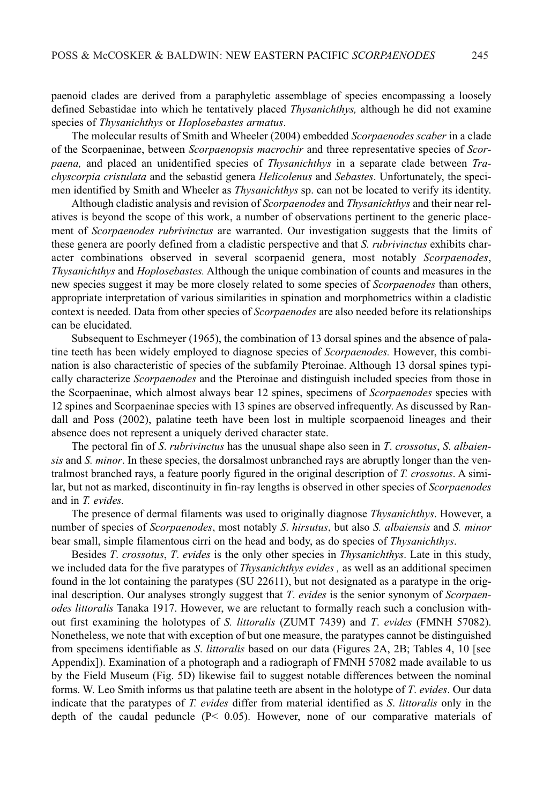paenoid clades are derived from a paraphyletic assemblage of species encompassing a loosely defined Sebastidae into which he tentatively placed *Thysanichthys,* although he did not examine species of *Thysanichthys* or *Hoplosebastes armatus*.

The molecular results of Smith and Wheeler (2004) embedded *Scorpaenodes scaber* in a clade of the Scorpaeninae, between *Scorpaenopsis macrochir* and three representative species of *Scorpaena,* and placed an unidentified species of *Thysanichthys* in a separate clade between *Trachyscorpia cristulata* and the sebastid genera *Helicolenus* and *Sebastes*. Unfortunately, the specimen identified by Smith and Wheeler as *Thysanichthys* sp. can not be located to verify its identity.

Although cladistic analysis and revision of *Scorpaenodes* and *Thysanichthys* and their near relatives is beyond the scope of this work, a number of observations pertinent to the generic placement of *Scorpaenodes rubrivinctus* are warranted. Our investigation suggests that the limits of these genera are poorly defined from a cladistic perspective and that *S. rubrivinctus* exhibits character combinations observed in several scorpaenid genera, most notably *Scorpaenodes*, *Thysanichthys* and *Hoplosebastes.* Although the unique combination of counts and measures in the new species suggest it may be more closely related to some species of *Scorpaenodes* than others, appropriate interpretation of various similarities in spination and morphometrics within a cladistic context is needed. Data from other species of *Scorpaenodes* are also needed before its relationships can be elucidated.

Subsequent to Eschmeyer (1965), the combination of 13 dorsal spines and the absence of palatine teeth has been widely employed to diagnose species of *Scorpaenodes.* However, this combination is also characteristic of species of the subfamily Pteroinae. Although 13 dorsal spines typically characterize *Scorpaenodes* and the Pteroinae and distinguish included species from those in the Scorpaeninae, which almost always bear 12 spines, specimens of *Scorpaenodes* species with 12 spines and Scorpaeninae species with 13 spines are observed infrequently. As discussed by Randall and Poss (2002), palatine teeth have been lost in multiple scorpaenoid lineages and their absence does not represent a uniquely derived character state.

The pectoral fin of *S*. *rubrivinctus* has the unusual shape also seen in *T*. *crossotus*, *S*. *albaiensis* and *S. minor*. In these species, the dorsalmost unbranched rays are abruptly longer than the ventralmost branched rays, a feature poorly figured in the original description of *T. crossotus*. A similar, but not as marked, discontinuity in fin-ray lengths is observed in other species of *Scorpaenodes* and in *T. evides.*

The presence of dermal filaments was used to originally diagnose *Thysanichthys*. However, a number of species of *Scorpaenodes*, most notably *S*. *hirsutus*, but also *S. albaiensis* and *S. minor* bear small, simple filamentous cirri on the head and body, as do species of *Thysanichthys*.

Besides *T*. *crossotus*, *T*. *evides* is the only other species in *Thysanichthys*. Late in this study, we included data for the five paratypes of *Thysanichthys evides ,* as well as an additional specimen found in the lot containing the paratypes (SU 22611), but not designated as a paratype in the original description. Our analyses strongly suggest that *T*. *evides* is the senior synonym of *Scorpaenodes littoralis* Tanaka 1917. However, we are reluctant to formally reach such a conclusion without first examining the holotypes of *S. littoralis* (ZUMT 7439) and *T*. *evides* (FMNH 57082). Nonetheless, we note that with exception of but one measure, the paratypes cannot be distinguished from specimens identifiable as *S*. *littoralis* based on our data (Figures 2A, 2B; Tables 4, 10 [see Appendix]). Examination of a photograph and a radiograph of FMNH 57082 made available to us by the Field Museum (Fig. 5D) likewise fail to suggest notable differences between the nominal forms. W. Leo Smith informs us that palatine teeth are absent in the holotype of *T*. *evides*. Our data indicate that the paratypes of *T. evides* differ from material identified as *S*. *littoralis* only in the depth of the caudal peduncle (P< 0.05). However, none of our comparative materials of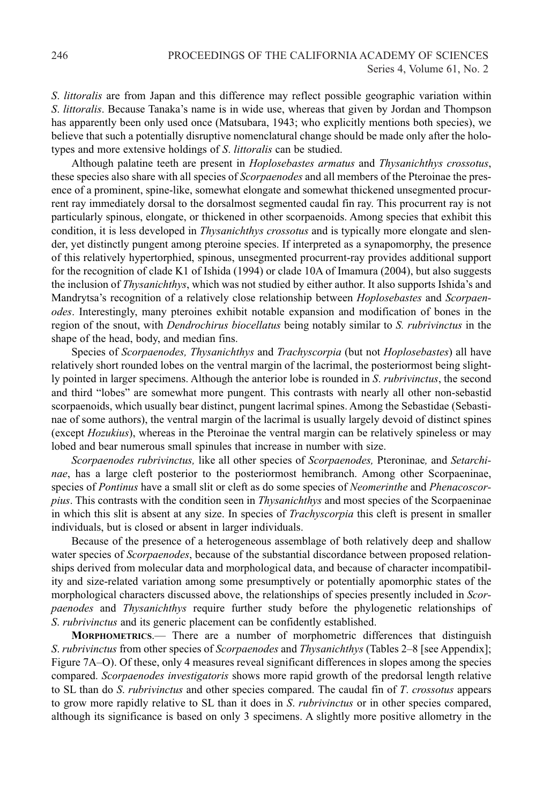*S*. *littoralis* are from Japan and this difference may reflect possible geographic variation within *S*. *littoralis*. Because Tanaka's name is in wide use, whereas that given by Jordan and Thompson has apparently been only used once (Matsubara, 1943; who explicitly mentions both species), we believe that such a potentially disruptive nomenclatural change should be made only after the holotypes and more extensive holdings of *S*. *littoralis* can be studied.

Although palatine teeth are present in *Hoplosebastes armatus* and *Thysanichthys crossotus*, these species also share with all species of *Scorpaenodes* and all members of the Pteroinae the presence of a prominent, spine-like, somewhat elongate and somewhat thickened unsegmented procurrent ray immediately dorsal to the dorsalmost segmented caudal fin ray. This procurrent ray is not particularly spinous, elongate, or thickened in other scorpaenoids. Among species that exhibit this condition, it is less developed in *Thysanichthys crossotus* and is typically more elongate and slender, yet distinctly pungent among pteroine species. If interpreted as a synapomorphy, the presence of this relatively hypertorphied, spinous, unsegmented procurrent-ray provides additional support for the recognition of clade K1 of Ishida (1994) or clade 10A of Imamura (2004), but also suggests the inclusion of *Thysanichthys*, which was not studied by either author. It also supports Ishida's and Mandrytsa's recognition of a relatively close relationship between *Hoplosebastes* and *Scorpaenodes*. Interestingly, many pteroines exhibit notable expansion and modification of bones in the region of the snout, with *Dendrochirus biocellatus* being notably similar to *S. rubrivinctus* in the shape of the head, body, and median fins.

Species of *Scorpaenodes, Thysanichthys* and *Trachyscorpia* (but not *Hoplosebastes*) all have relatively short rounded lobes on the ventral margin of the lacrimal, the posteriormost being slightly pointed in larger specimens. Although the anterior lobe is rounded in *S*. *rubrivinctus*, the second and third "lobes" are somewhat more pungent. This contrasts with nearly all other non-sebastid scorpaenoids, which usually bear distinct, pungent lacrimal spines. Among the Sebastidae (Sebastinae of some authors), the ventral margin of the lacrimal is usually largely devoid of distinct spines (except *Hozukius*), whereas in the Pteroinae the ventral margin can be relatively spineless or may lobed and bear numerous small spinules that increase in number with size.

*Scorpaenodes rubrivinctus,* like all other species of *Scorpaenodes,* Pteroninae*,* and *Setarchinae*, has a large cleft posterior to the posteriormost hemibranch. Among other Scorpaeninae, species of *Pontinus* have a small slit or cleft as do some species of *Neomerinthe* and *Phenacoscorpius*. This contrasts with the condition seen in *Thysanichthys* and most species of the Scorpaeninae in which this slit is absent at any size. In species of *Trachyscorpia* this cleft is present in smaller individuals, but is closed or absent in larger individuals.

Because of the presence of a heterogeneous assemblage of both relatively deep and shallow water species of *Scorpaenodes*, because of the substantial discordance between proposed relationships derived from molecular data and morphological data, and because of character incompatibility and size-related variation among some presumptively or potentially apomorphic states of the morphological characters discussed above, the relationships of species presently included in *Scorpaenodes* and *Thysanichthys* require further study before the phylogenetic relationships of *S*. *rubrivinctus* and its generic placement can be confidently established.

**MORPHOMETRICS**.— There are a number of morphometric differences that distinguish *S*. *rubrivinctus* from other species of *Scorpaenodes* and *Thysanichthys* (Tables 2–8 [see Appendix]; Figure 7A–O). Of these, only 4 measures reveal significant differences in slopes among the species compared. *Scorpaenodes investigatoris* shows more rapid growth of the predorsal length relative to SL than do *S*. *rubrivinctus* and other species compared. The caudal fin of *T*. *crossotus* appears to grow more rapidly relative to SL than it does in *S*. *rubrivinctus* or in other species compared, although its significance is based on only 3 specimens. A slightly more positive allometry in the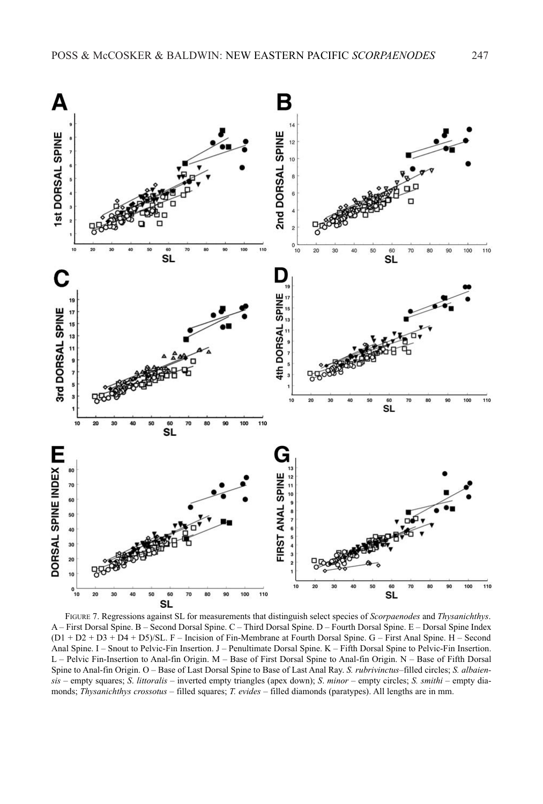

FIGURE 7. Regressions against SL for measurements that distinguish select species of *Scorpaenodes* and *Thysanichthys*. A – First Dorsal Spine. B – Second Dorsal Spine. C – Third Dorsal Spine. D – Fourth Dorsal Spine. E – Dorsal Spine Index (D1 + D2 + D3 + D4 + D5)/SL. F – Incision of Fin-Membrane at Fourth Dorsal Spine. G – First Anal Spine. H – Second Anal Spine. I – Snout to Pelvic-Fin Insertion. J – Penultimate Dorsal Spine. K – Fifth Dorsal Spine to Pelvic-Fin Insertion. L – Pelvic Fin-Insertion to Anal-fin Origin. M – Base of First Dorsal Spine to Anal-fin Origin. N – Base of Fifth Dorsal Spine to Anal-fin Origin. O – Base of Last Dorsal Spine to Base of Last Anal Ray. *S. rubrivinctus*–filled circles; *S. albaiensis* – empty squares; *S*. *littoralis* – inverted empty triangles (apex down); *S*. *minor* – empty circles; *S. smithi* – empty diamonds; *Thysanichthys crossotus* – filled squares; *T. evides* – filled diamonds (paratypes). All lengths are in mm.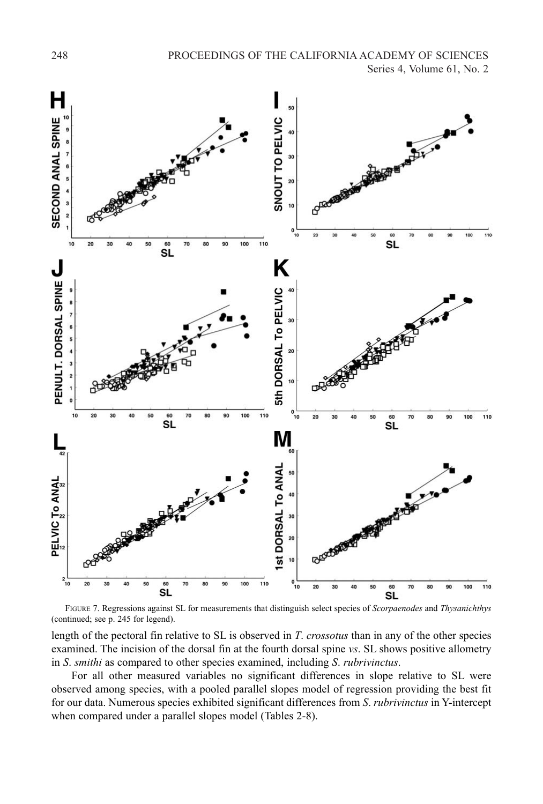

FIGURE 7. Regressions against SL for measurements that distinguish select species of *Scorpaenodes* and *Thysanichthys* (continued; see p. 245 for legend).

length of the pectoral fin relative to SL is observed in *T*. *crossotus* than in any of the other species examined. The incision of the dorsal fin at the fourth dorsal spine *vs*. SL shows positive allometry in *S*. *smithi* as compared to other species examined, including *S*. *rubrivinctus*.

For all other measured variables no significant differences in slope relative to SL were observed among species, with a pooled parallel slopes model of regression providing the best fit for our data. Numerous species exhibited significant differences from *S*. *rubrivinctus* in Y-intercept when compared under a parallel slopes model (Tables 2-8).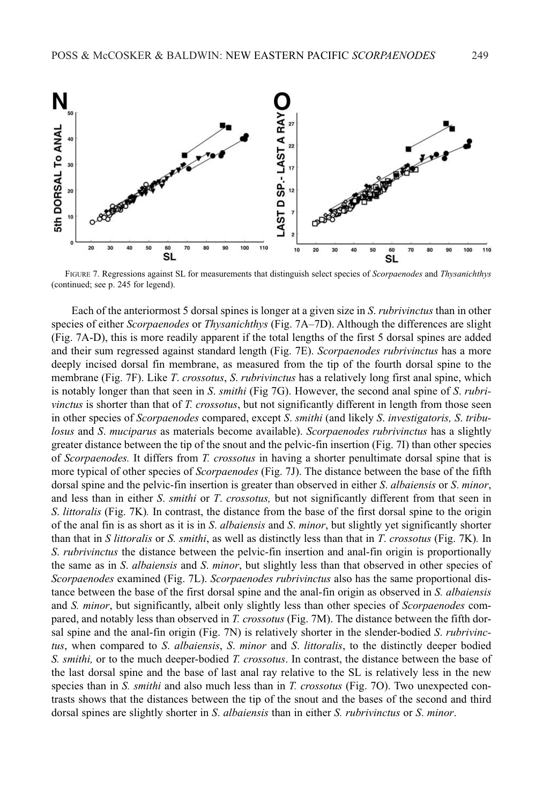

FIGURE 7. Regressions against SL for measurements that distinguish select species of *Scorpaenodes* and *Thysanichthys* (continued; see p. 245 for legend).

Each of the anteriormost 5 dorsal spines is longer at a given size in *S*. *rubrivinctus* than in other species of either *Scorpaenodes* or *Thysanichthys* (Fig. 7A–7D). Although the differences are slight (Fig. 7A-D), this is more readily apparent if the total lengths of the first 5 dorsal spines are added and their sum regressed against standard length (Fig. 7E). *Scorpaenodes rubrivinctus* has a more deeply incised dorsal fin membrane, as measured from the tip of the fourth dorsal spine to the membrane (Fig. 7F). Like *T*. *crossotus*, *S*. *rubrivinctus* has a relatively long first anal spine, which is notably longer than that seen in *S*. *smithi* (Fig 7G). However, the second anal spine of *S*. *rubrivinctus* is shorter than that of *T. crossotus*, but not significantly different in length from those seen in other species of *Scorpaenodes* compared, except *S*. *smithi* (and likely *S*. *investigatoris, S*. *tribulosus* and *S*. *muciparus* as materials become available). *Scorpaenodes rubrivinctus* has a slightly greater distance between the tip of the snout and the pelvic-fin insertion (Fig. 7I) than other species of *Scorpaenodes.* It differs from *T. crossotus* in having a shorter penultimate dorsal spine that is more typical of other species of *Scorpaenodes* (Fig. 7J). The distance between the base of the fifth dorsal spine and the pelvic-fin insertion is greater than observed in either *S*. *albaiensis* or *S*. *minor*, and less than in either *S*. *smithi* or *T*. *crossotus,* but not significantly different from that seen in *S*. *littoralis* (Fig. 7K)*.* In contrast, the distance from the base of the first dorsal spine to the origin of the anal fin is as short as it is in *S*. *albaiensis* and *S*. *minor*, but slightly yet significantly shorter than that in *S littoralis* or *S. smithi*, as well as distinctly less than that in *T*. *crossotus* (Fig. 7K)*.* In *S*. *rubrivinctus* the distance between the pelvic-fin insertion and anal-fin origin is proportionally the same as in *S*. *albaiensis* and *S*. *minor*, but slightly less than that observed in other species of *Scorpaenodes* examined (Fig. 7L). *Scorpaenodes rubrivinctus* also has the same proportional distance between the base of the first dorsal spine and the anal-fin origin as observed in *S. albaiensis* and *S. minor*, but significantly, albeit only slightly less than other species of *Scorpaenodes* compared, and notably less than observed in *T. crossotus* (Fig. 7M). The distance between the fifth dorsal spine and the anal-fin origin (Fig. 7N) is relatively shorter in the slender-bodied *S*. *rubrivinctus*, when compared to *S*. *albaiensis*, *S*. *minor* and *S*. *littoralis*, to the distinctly deeper bodied *S. smithi,* or to the much deeper-bodied *T. crossotus*. In contrast, the distance between the base of the last dorsal spine and the base of last anal ray relative to the SL is relatively less in the new species than in *S. smithi* and also much less than in *T. crossotus* (Fig. 7O). Two unexpected contrasts shows that the distances between the tip of the snout and the bases of the second and third dorsal spines are slightly shorter in *S*. *albaiensis* than in either *S. rubrivinctus* or *S*. *minor*.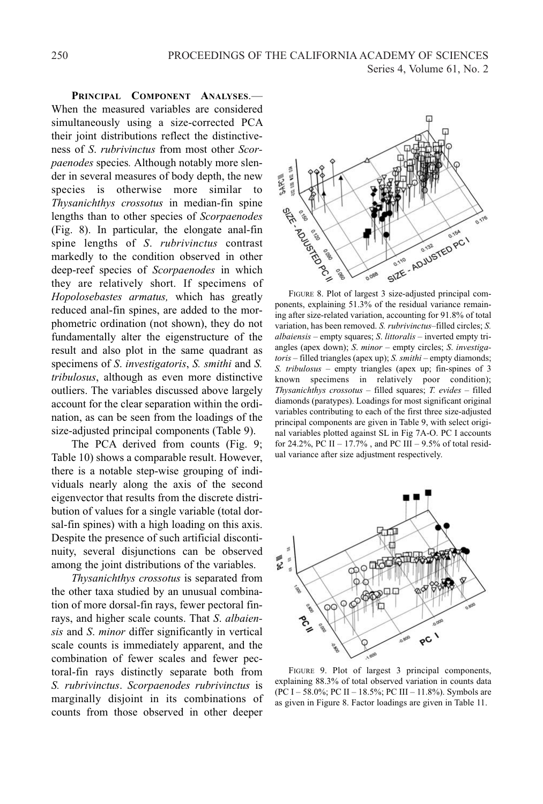**PRINCIPAL COMPONENT ANALYSES**.— When the measured variables are considered simultaneously using a size-corrected PCA their joint distributions reflect the distinctiveness of *S*. *rubrivinctus* from most other *Scorpaenodes* species*.* Although notably more slender in several measures of body depth, the new species is otherwise more similar to *Thysanichthys crossotus* in median-fin spine lengths than to other species of *Scorpaenodes* (Fig. 8). In particular, the elongate anal-fin spine lengths of *S*. *rubrivinctus* contrast markedly to the condition observed in other deep-reef species of *Scorpaenodes* in which they are relatively short. If specimens of *Hopolosebastes armatus,* which has greatly reduced anal-fin spines, are added to the morphometric ordination (not shown), they do not fundamentally alter the eigenstructure of the result and also plot in the same quadrant as specimens of *S*. *investigatoris*, *S. smithi* and *S. tribulosus*, although as even more distinctive outliers. The variables discussed above largely account for the clear separation within the ordination, as can be seen from the loadings of the size-adjusted principal components (Table 9).

The PCA derived from counts (Fig. 9; Table 10) shows a comparable result. However, there is a notable step-wise grouping of individuals nearly along the axis of the second eigenvector that results from the discrete distribution of values for a single variable (total dorsal-fin spines) with a high loading on this axis. Despite the presence of such artificial discontinuity, several disjunctions can be observed among the joint distributions of the variables.

*Thysanichthys crossotus* is separated from the other taxa studied by an unusual combination of more dorsal-fin rays, fewer pectoral finrays, and higher scale counts. That *S*. *albaiensis* and *S*. *minor* differ significantly in vertical scale counts is immediately apparent, and the combination of fewer scales and fewer pectoral-fin rays distinctly separate both from *S. rubrivinctus*. *Scorpaenodes rubrivinctus* is marginally disjoint in its combinations of counts from those observed in other deeper



FIGURE 8. Plot of largest 3 size-adjusted principal components, explaining 51.3% of the residual variance remaining after size-related variation, accounting for 91.8% of total variation, has been removed. *S. rubrivinctus*–filled circles; *S. albaiensis* – empty squares; *S*. *littoralis* – inverted empty triangles (apex down); *S*. *minor* – empty circles; *S*. *investigatoris* – filled triangles (apex up); *S. smithi* – empty diamonds; *S. tribulosus* – empty triangles (apex up; fin-spines of 3 known specimens in relatively poor condition); *Thysanichthys crossotus* – filled squares; *T. evides* – filled diamonds (paratypes). Loadings for most significant original variables contributing to each of the first three size-adjusted principal components are given in Table 9, with select original variables plotted against SL in Fig 7A-O. PC I accounts for 24.2%, PC II – 17.7% , and PC III – 9.5% of total residual variance after size adjustment respectively.



FIGURE 9. Plot of largest 3 principal components, explaining 88.3% of total observed variation in counts data (PC I – 58.0%; PC II – 18.5%; PC III – 11.8%). Symbols are as given in Figure 8. Factor loadings are given in Table 11.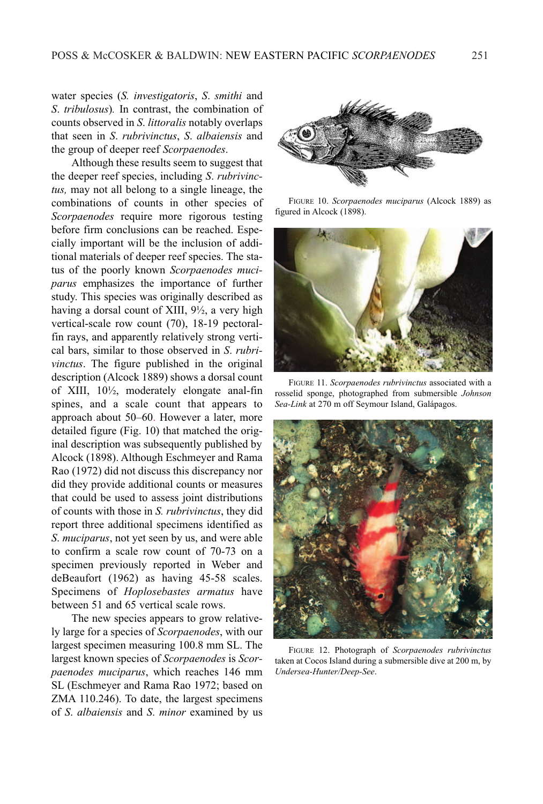water species (*S. investigatoris*, *S*. *smithi* and *S*. *tribulosus*)*.* In contrast, the combination of counts observed in *S*. *littoralis* notably overlaps that seen in *S*. *rubrivinctus*, *S*. *albaiensis* and the group of deeper reef *Scorpaenodes*.

Although these results seem to suggest that the deeper reef species, including *S*. *rubrivinctus,* may not all belong to a single lineage, the combinations of counts in other species of *Scorpaenodes* require more rigorous testing before firm conclusions can be reached. Especially important will be the inclusion of additional materials of deeper reef species. The status of the poorly known *Scorpaenodes muciparus* emphasizes the importance of further study. This species was originally described as having a dorsal count of XIII, 9½, a very high vertical-scale row count (70), 18-19 pectoralfin rays, and apparently relatively strong vertical bars, similar to those observed in *S*. *rubrivinctus*. The figure published in the original description (Alcock 1889) shows a dorsal count of XIII, 10½, moderately elongate anal-fin spines, and a scale count that appears to approach about 50–60. However a later, more detailed figure (Fig. 10) that matched the original description was subsequently published by Alcock (1898). Although Eschmeyer and Rama Rao (1972) did not discuss this discrepancy nor did they provide additional counts or measures that could be used to assess joint distributions of counts with those in *S. rubrivinctus*, they did report three additional specimens identified as *S*. *muciparus*, not yet seen by us, and were able to confirm a scale row count of 70-73 on a specimen previously reported in Weber and deBeaufort (1962) as having 45-58 scales. Specimens of *Hoplosebastes armatus* have between 51 and 65 vertical scale rows.

The new species appears to grow relatively large for a species of *Scorpaenodes*, with our largest specimen measuring 100.8 mm SL. The largest known species of *Scorpaenodes* is *Scorpaenodes muciparus*, which reaches 146 mm SL (Eschmeyer and Rama Rao 1972; based on ZMA 110.246). To date, the largest specimens of *S*. *albaiensis* and *S*. *minor* examined by us



FIGURE 10. *Scorpaenodes muciparus* (Alcock 1889) as figured in Alcock (1898).



FIGURE 11. *Scorpaenodes rubrivinctus* associated with a rosselid sponge, photographed from submersible *Johnson Sea-Link* at 270 m off Seymour Island, Galápagos.



FIGURE 12. Photograph of *Scorpaenodes rubrivinctus* taken at Cocos Island during a submersible dive at 200 m, by *Undersea-Hunter/Deep-See*.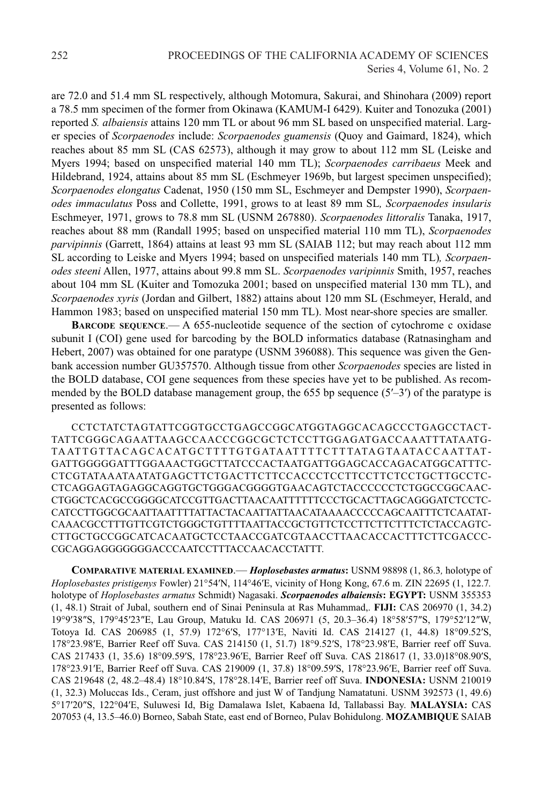are 72.0 and 51.4 mm SL respectively, although Motomura, Sakurai, and Shinohara (2009) report a 78.5 mm specimen of the former from Okinawa (KAMUM-I 6429). Kuiter and Tonozuka (2001) reported *S. albaiensis* attains 120 mm TL or about 96 mm SL based on unspecified material. Larger species of *Scorpaenodes* include: *Scorpaenodes guamensis* (Quoy and Gaimard, 1824), which reaches about 85 mm SL (CAS 62573), although it may grow to about 112 mm SL (Leiske and Myers 1994; based on unspecified material 140 mm TL); *Scorpaenodes carribaeus* Meek and Hildebrand, 1924, attains about 85 mm SL (Eschmeyer 1969b, but largest specimen unspecified); *Scorpaenodes elongatus* Cadenat, 1950 (150 mm SL, Eschmeyer and Dempster 1990), *Scorpaenodes immaculatus* Poss and Collette, 1991, grows to at least 89 mm SL*, Scorpaenodes insularis* Eschmeyer, 1971, grows to 78.8 mm SL (USNM 267880). *Scorpaenodes littoralis* Tanaka, 1917, reaches about 88 mm (Randall 1995; based on unspecified material 110 mm TL), *Scorpaenodes parvipinnis* (Garrett, 1864) attains at least 93 mm SL (SAIAB 112; but may reach about 112 mm SL according to Leiske and Myers 1994; based on unspecified materials 140 mm TL)*, Scorpaenodes steeni* Allen, 1977, attains about 99.8 mm SL. *Scorpaenodes varipinnis* Smith, 1957, reaches about 104 mm SL (Kuiter and Tomozuka 2001; based on unspecified material 130 mm TL), and *Scorpaenodes xyris* (Jordan and Gilbert, 1882) attains about 120 mm SL (Eschmeyer, Herald, and Hammon 1983; based on unspecified material 150 mm TL). Most near-shore species are smaller.

**BARCODE SEQUENCE**.— A 655-nucleotide sequence of the section of cytochrome c oxidase subunit I (COI) gene used for barcoding by the BOLD informatics database (Ratnasingham and Hebert, 2007) was obtained for one paratype (USNM 396088). This sequence was given the Genbank accession number GU357570. Although tissue from other *Scorpaenodes* species are listed in the BOLD database, COI gene sequences from these species have yet to be published. As recommended by the BOLD database management group, the 655 bp sequence  $(5'-3')$  of the paratype is presented as follows:

CCTCTATCTAGTATTCGGTGCCTGAGCCGGCATGGTAGGCACAGCCCTGAGCCTACT-TATTCGGGCAGAATTAAGCCAACCCGGCGCTCTCCTTGGAGATGACCAAATTTATAATG-TA AT T G T TA C A G C A C AT G CT T T T G T G ATA AT T T TCT T TATA G TA ATA CC A AT TAT - GATTGGGGGATTTGGAAACTGGCTTATCCCACTAATGATTGGAGCACCAGACATGGCATTTC-CTCGTATAAATAATATGAGCTTCTGACTTCTTCCACCCTCCTTCCTTCTCCTGCTTGCCTC-CTCAGGAGTAGAGGCAGGTGCTGGGACGGGGTGAACAGTCTACCCCCCTCTGGCCGGCAAC-CTGGCTCACGCCGGGGCATCCGTTGACTTAACAATTTTTTCCCTGCACTTAGCAGGGATCTCCTC-CATCCTTGGCGCAATTAATTTTATTACTACAATTATTAACATAAAACCCCCAGCAATTTCTCAATAT-CAAACGCCTTTGTTCGTCTGGGCTGTTTTAATTACCGCTGTTCTCCTTCTTCTTTCTCTACCAGTC-CTTGCTGCCGGCATCACAATGCTCCTAACCGATCGTAACCTTAACACCACTTTCTTCGACCC-CGCAGGAGGGGGGGACCCAATCCTTTACCAACACCTATTT.

**COMPARATIVE MATERIAL EXAMINED**.— *Hoplosebastes armatus***:** USNM 98898 (1, 86.3*,* holotype of *Hoplosebastes pristigenys* Fowler) 21°54′N, 114°46′E, vicinity of Hong Kong, 67.6 m. ZIN 22695 (1, 122.7*.* holotype of *Hoplosebastes armatus* Schmidt) Nagasaki. *Scorpaenodes albaiensis***: EGYPT:** USNM 355353 (1, 48.1) Strait of Jubal, southern end of Sinai Peninsula at Ras Muhammad,. **FIJI:** CAS 206970 (1, 34.2) 19°9′38″S, 179°45′23″E, Lau Group, Matuku Id. CAS 206971 (5, 20.3–36.4) 18°58′57″S, 179°52′12″W, Totoya Id. CAS 206985 (1, 57.9) 172°6′S, 177°13′E, Naviti Id. CAS 214127 (1, 44.8) 18°09.52′S, 178°23.98′E, Barrier Reef off Suva. CAS 214150 (1, 51.7) 18°9.52′S, 178°23.98′E, Barrier reef off Suva. CAS 217433 (1, 35.6) 18°09.59′S, 178°23.96′E, Barrier Reef off Suva. CAS 218617 (1, 33.0)18°08.90′S, 178°23.91′E, Barrier Reef off Suva. CAS 219009 (1, 37.8) 18°09.59′S, 178°23.96′E, Barrier reef off Suva. CAS 219648 (2, 48.2–48.4) 18°10.84′S, 178°28.14′E, Barrier reef off Suva. **INDONESIA:** USNM 210019 (1, 32.3) Moluccas Ids., Ceram, just offshore and just W of Tandjung Namatatuni. USNM 392573 (1, 49.6) 5°17′20″S, 122°04′E, Suluwesi Id, Big Damalawa Islet, Kabaena Id, Tallabassi Bay. **MALAYSIA:** CAS 207053 (4, 13.5–46.0) Borneo, Sabah State, east end of Borneo, Pulav Bohidulong. **MOZAMBIQUE** SAIAB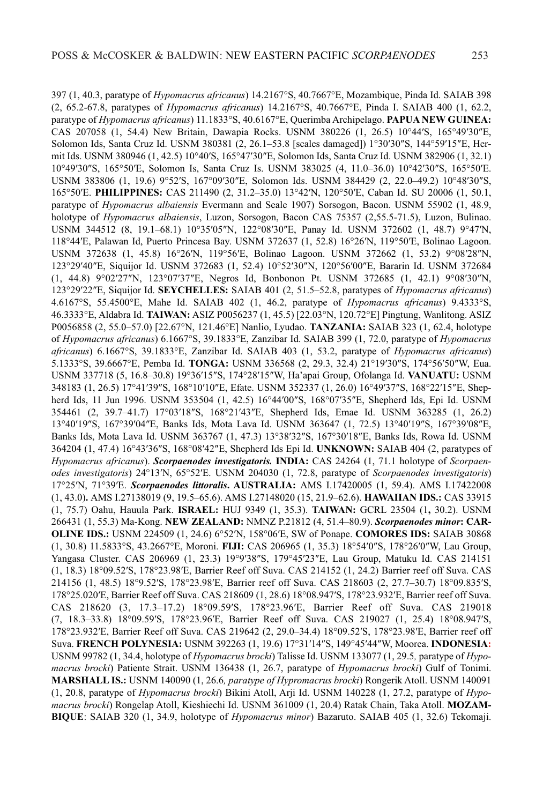397 (1, 40.3, paratype of *Hypomacrus africanus*) 14.2167°S, 40.7667°E, Mozambique, Pinda Id. SAIAB 398 (2, 65.2-67.8, paratypes of *Hypomacrus africanus*) 14.2167°S, 40.7667°E, Pinda I. SAIAB 400 (1, 62.2, paratype of *Hypomacrus africanus*) 11.1833°S, 40.6167°E, Querimba Archipelago. **PAPUA NEW GUINEA:** CAS 207058 (1, 54.4) New Britain, Dawapia Rocks. USNM 380226 (1, 26.5) 10°44′S, 165°49′30″E, Solomon Ids, Santa Cruz Id. USNM 380381 (2, 26.1–53.8 [scales damaged]) 1°30′30″S, 144°59′15″E, Hermit Ids. USNM 380946 (1, 42.5) 10°40′S, 165°47′30″E, Solomon Ids, Santa Cruz Id. USNM 382906 (1, 32.1) 10°49′30″S, 165°50′E, Solomon Is, Santa Cruz Is. USNM 383025 (4, 11.0–36.0) 10°42′30″S, 165°50′E. USNM 383806 (1, 19.6) 9°52′S, 167°09′30″E, Solomon Ids. USNM 384429 (2, 22.0–49.2) 10°48′30″S, 165°50′E. **PHILIPPINES:** CAS 211490 (2, 31.2–35.0) 13°42′N, 120°50′E, Caban Id. SU 20006 (1, 50.1, paratype of *Hypomacrus albaiensis* Evermann and Seale 1907) Sorsogon, Bacon. USNM 55902 (1, 48.9, holotype of *Hypomacrus albaiensis*, Luzon, Sorsogon, Bacon CAS 75357 (2,55.5-71.5), Luzon, Bulinao. USNM 344512 (8, 19.1–68.1) 10°35′05″N, 122°08′30″E, Panay Id. USNM 372602 (1, 48.7) 9°47′N, 118°44′E, Palawan Id, Puerto Princesa Bay. USNM 372637 (1, 52.8) 16°26′N, 119°50′E, Bolinao Lagoon. USNM 372638 (1, 45.8) 16°26′N, 119°56′E, Bolinao Lagoon. USNM 372662 (1, 53.2) 9°08′28″N, 123°29′40″E, Siquijor Id. USNM 372683 (1, 52.4) 10°52′30″N, 120°56′00″E, Bararin Id. USNM 372684 (1, 44.8) 9°02′27″N, 123°07′37″E, Negros Id, Bonbonon Pt. USNM 372685 (1, 42.1) 9°08′30″N, 123°29′22″E, Siquijor Id. **SEYCHELLES:** SAIAB 401 (2, 51.5–52.8, paratypes of *Hypomacrus africanus*) 4.6167°S, 55.4500°E, Mahe Id. SAIAB 402 (1, 46.2, paratype of *Hypomacrus africanus*) 9.4333°S, 46.3333°E, Aldabra Id. **TAIWAN:** ASIZ P0056237 (1, 45.5) [22.03°N, 120.72°E] Pingtung, Wanlitong. ASIZ P0056858 (2, 55.0–57.0) [22.67°N, 121.46°E] Nanlio, Lyudao. **TANZANIA:** SAIAB 323 (1, 62.4, holotype of *Hypomacrus africanus*) 6.1667°S, 39.1833°E, Zanzibar Id. SAIAB 399 (1, 72.0, paratype of *Hypomacrus africanus*) 6.1667°S, 39.1833°E, Zanzibar Id. SAIAB 403 (1, 53.2, paratype of *Hypomacrus africanus*) 5.1333°S, 39.6667°E, Pemba Id. **TONGA:** USNM 336568 (2, 29.3, 32.4) 21°19′30″S, 174°56′50″W, Eua. USNM 337718 (5, 16.8–30.8) 19°36′15″S, 174°28′15″W, Ha'apai Group, Ofolanga Id. **VANUATU:** USNM 348183 (1, 26.5) 17°41′39″S, 168°10′10″E, Efate. USNM 352337 (1, 26.0) 16°49′37″S, 168°22′15″E, Shepherd Ids, 11 Jun 1996. USNM 353504 (1, 42.5) 16°44′00″S, 168°07′35″E, Shepherd Ids, Epi Id. USNM 354461 (2, 39.7–41.7) 17°03′18″S, 168°21′43″E, Shepherd Ids, Emae Id. USNM 363285 (1, 26.2) 13°40′19″S, 167°39′04″E, Banks Ids, Mota Lava Id. USNM 363647 (1, 72.5) 13°40′19″S, 167°39′08″E, Banks Ids, Mota Lava Id. USNM 363767 (1, 47.3) 13°38′32″S, 167°30′18″E, Banks Ids, Rowa Id. USNM 364204 (1, 47.4) 16°43′36″S, 168°08′42″E, Shepherd Ids Epi Id. **UNKNOWN:** SAIAB 404 (2, paratypes of *Hypomacrus africanus*). *Scorpaenodes investigatoris.* **INDIA:** CAS 24264 (1, 71.1 holotype of *Scorpaenodes investigatoris*) 24°13′N, 65°52′E. USNM 204030 (1, 72.8, paratype of *Scorpaenodes investigatoris*) 17°25′N, 71°39′E. *Scorpaenodes littoralis***. AUSTRALIA:** AMS I.17420005 (1, 59.4). AMS I.17422008 (1, 43.0)**.** AMS I.27138019 (9, 19.5–65.6). AMS I.27148020 (15, 21.9–62.6). **HAWAIIAN IDS.:** CAS 33915 (1, 75.7) Oahu, Hauula Park. **ISRAEL:** HUJ 9349 (1, 35.3). **TAIWAN:** GCRL 23504 (1**,** 30.2). USNM 266431 (1, 55.3) Ma-Kong. **NEW ZEALAND:** NMNZ P.21812 (4, 51.4–80.9). *Scorpaenodes minor***: CAR-OLINE IDS.:** USNM 224509 (1, 24.6) 6°52′N, 158°06′E, SW of Ponape. **COMORES IDS:** SAIAB 30868 (1, 30.8) 11.5833°S, 43.2667°E, Moroni. **FIJI:** CAS 206965 (1, 35.3) 18°54′0″S, 178°26′0″W, Lau Group, Yangasa Cluster. CAS 206969 (1, 23.3) 19°9′38″S, 179°45′23″E, Lau Group, Matuku Id. CAS 214151 (1, 18.3) 18°09.52′S, 178°23.98′E, Barrier Reef off Suva. CAS 214152 (1, 24.2) Barrier reef off Suva. CAS 214156 (1, 48.5) 18°9.52′S, 178°23.98′E, Barrier reef off Suva. CAS 218603 (2, 27.7–30.7) 18°09.835′S, 178°25.020′E, Barrier Reef off Suva. CAS 218609 (1, 28.6) 18°08.947′S, 178°23.932′E, Barrier reef off Suva. CAS 218620 (3, 17.3–17.2) 18°09.59′S, 178°23.96′E, Barrier Reef off Suva. CAS 219018 (7, 18.3–33.8) 18°09.59′S, 178°23.96′E, Barrier Reef off Suva. CAS 219027 (1, 25.4) 18°08.947′S, 178°23.932′E, Barrier Reef off Suva. CAS 219642 (2, 29.0–34.4) 18°09.52′S, 178°23.98′E, Barrier reef off Suva. **FRENCH POLYNESIA:** USNM 392263 (1, 19.6) 17°31′14″S, 149°45′44″W, Moorea. **INDONESIA:** USNM 99782 (1, 34.4, holotype of *Hypomacrus brocki*) Talisse Id. USNM 133077 (1, 29.5*,* paratype of *Hypomacrus brocki*) Patiente Strait. USNM 136438 (1, 26.7, paratype of *Hypomacrus brocki*) Gulf of Tonimi. **MARSHALL IS.:** USNM 140090 (1, 26.6*, paratype of Hypromacrus brocki*) Rongerik Atoll. USNM 140091 (1, 20.8, paratype of *Hypomacrus brocki*) Bikini Atoll, Arji Id. USNM 140228 (1, 27.2, paratype of *Hypomacrus brocki*) Rongelap Atoll, Kieshiechi Id. USNM 361009 (1, 20.4) Ratak Chain, Taka Atoll. **MOZAM-BIQUE**: SAIAB 320 (1, 34.9, holotype of *Hypomacrus minor*) Bazaruto. SAIAB 405 (1, 32.6) Tekomaji.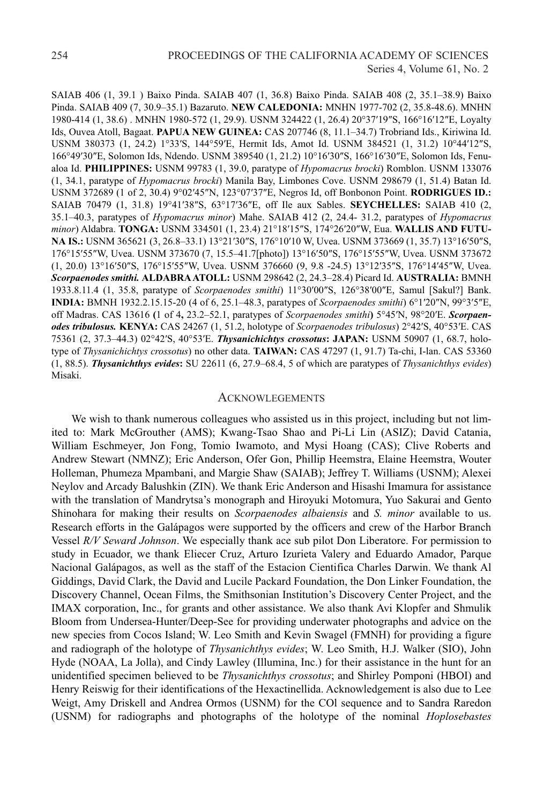SAIAB 406 (1, 39.1 ) Baixo Pinda. SAIAB 407 (1, 36.8) Baixo Pinda. SAIAB 408 (2, 35.1–38.9) Baixo Pinda. SAIAB 409 (7, 30.9–35.1) Bazaruto. **NEW CALEDONIA:** MNHN 1977-702 (2, 35.8-48.6). MNHN 1980-414 (1, 38.6) . MNHN 1980-572 (1, 29.9). USNM 324422 (1, 26.4) 20°37′19″S, 166°16′12″E, Loyalty Ids, Ouvea Atoll, Bagaat. **PAPUA NEW GUINEA:** CAS 207746 (8, 11.1–34.7) Trobriand Ids., Kiriwina Id. USNM 380373 (1, 24.2) 1°33′S, 144°59′E, Hermit Ids, Amot Id. USNM 384521 (1, 31.2) 10°44′12″S, 166°49′30″E, Solomon Ids, Ndendo. USNM 389540 (1, 21.2) 10°16′30″S, 166°16′30″E, Solomon Ids, Fenualoa Id. **PHILIPPINES:** USNM 99783 (1, 39.0, paratype of *Hypomacrus brocki*) Romblon. USNM 133076 (1, 34.1, paratype of *Hypomacrus brocki*) Manila Bay, Limbones Cove. USNM 298679 (1, 51.4) Batan Id. USNM 372689 (1 of 2, 30.4) 9°02′45″N, 123°07′37″E, Negros Id, off Bonbonon Point. **RODRIGUES ID.:** SAIAB 70479 (1, 31.8) 19°41′38″S, 63°17′36″E, off Ile aux Sables. **SEYCHELLES:** SAIAB 410 (2, 35.1–40.3, paratypes of *Hypomacrus minor*) Mahe. SAIAB 412 (2, 24.4- 31.2, paratypes of *Hypomacrus minor*) Aldabra. **TONGA:** USNM 334501 (1, 23.4) 21°18′15″S, 174°26′20″W, Eua. **WALLIS AND FUTU-NA IS.:** USNM 365621 (3, 26.8–33.1) 13°21′30″S, 176°10′10 W, Uvea. USNM 373669 (1, 35.7) 13°16′50″S, 176°15′55″W, Uvea. USNM 373670 (7, 15.5–41.7[photo]) 13°16′50″S, 176°15′55″W, Uvea. USNM 373672 (1, 20.0) 13°16′50″S, 176°15′55″W, Uvea. USNM 376660 (9, 9.8 -24.5) 13°12′35″S, 176°14′45″W, Uvea. *Scorpaenodes smithi.* **ALDABRAATOLL:** USNM 298642 (2, 24.3–28.4) Picard Id. **AUSTRALIA:** BMNH 1933.8.11.4 (1, 35.8, paratype of *Scorpaenodes smithi*) 11°30′00″S, 126°38′00″E, Samul [Sakul?] Bank. **INDIA:** BMNH 1932.2.15.15-20 (4 of 6, 25.1–48.3, paratypes of *Scorpaenodes smithi*) 6°1′20″N, 99°3′5″E, off Madras. CAS 13616 **(**1 of 4**,** 23.2–52.1, paratypes of *Scorpaenodes smithi***)** 5°45′N, 98°20′E. *Scorpaenodes tribulosus.* **KENYA:** CAS 24267 (1, 51.2, holotype of *Scorpaenodes tribulosus*) 2°42′S, 40°53′E. CAS 75361 (2, 37.3–44.3) 02°42′S, 40°53′E. *Thysanichichtys crossotus***: JAPAN:** USNM 50907 (1, 68.7, holotype of *Thysanichichtys crossotus*) no other data. **TAIWAN:** CAS 47297 (1, 91.7) Ta-chi, I-lan. CAS 53360 (1, 88.5). *Thysanichthys evides***:** SU 22611 (6, 27.9–68.4, 5 of which are paratypes of *Thysanichthys evides*) Misaki.

### **ACKNOWLEGEMENTS**

We wish to thank numerous colleagues who assisted us in this project, including but not limited to: Mark McGrouther (AMS); Kwang-Tsao Shao and Pi-Li Lin (ASIZ); David Catania, William Eschmeyer, Jon Fong, Tomio Iwamoto, and Mysi Hoang (CAS); Clive Roberts and Andrew Stewart (NMNZ); Eric Anderson, Ofer Gon, Phillip Heemstra, Elaine Heemstra, Wouter Holleman, Phumeza Mpambani, and Margie Shaw (SAIAB); Jeffrey T. Williams (USNM); Alexei Neylov and Arcady Balushkin (ZIN). We thank Eric Anderson and Hisashi Imamura for assistance with the translation of Mandrytsa's monograph and Hiroyuki Motomura, Yuo Sakurai and Gento Shinohara for making their results on *Scorpaenodes albaiensis* and *S. minor* available to us. Research efforts in the Galápagos were supported by the officers and crew of the Harbor Branch Vessel *R/V Seward Johnson*. We especially thank ace sub pilot Don Liberatore. For permission to study in Ecuador, we thank Eliecer Cruz, Arturo Izurieta Valery and Eduardo Amador, Parque Nacional Galápagos, as well as the staff of the Estacion Cientifica Charles Darwin. We thank Al Giddings, David Clark, the David and Lucile Packard Foundation, the Don Linker Foundation, the Discovery Channel, Ocean Films, the Smithsonian Institution's Discovery Center Project, and the IMAX corporation, Inc., for grants and other assistance. We also thank Avi Klopfer and Shmulik Bloom from Undersea-Hunter/Deep-See for providing underwater photographs and advice on the new species from Cocos Island; W. Leo Smith and Kevin Swagel (FMNH) for providing a figure and radiograph of the holotype of *Thysanichthys evides*; W. Leo Smith, H.J. Walker (SIO), John Hyde (NOAA, La Jolla), and Cindy Lawley (Illumina, Inc.) for their assistance in the hunt for an unidentified specimen believed to be *Thysanichthys crossotus*; and Shirley Pomponi (HBOI) and Henry Reiswig for their identifications of the Hexactinellida. Acknowledgement is also due to Lee Weigt, Amy Driskell and Andrea Ormos (USNM) for the COl sequence and to Sandra Raredon (USNM) for radiographs and photographs of the holotype of the nominal *Hoplosebastes*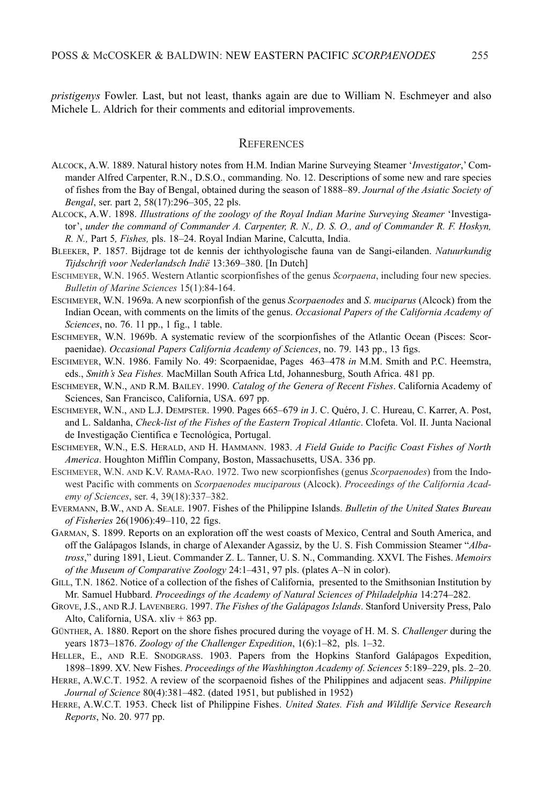*pristigenys* Fowler. Last, but not least, thanks again are due to William N. Eschmeyer and also Michele L. Aldrich for their comments and editorial improvements.

## **REFERENCES**

- ALCOCK, A.W. 1889. Natural history notes from H.M. Indian Marine Surveying Steamer '*Investigator*,' Commander Alfred Carpenter, R.N., D.S.O., commanding. No. 12. Descriptions of some new and rare species of fishes from the Bay of Bengal, obtained during the season of 1888–89. *Journal of the Asiatic Society of Bengal*, ser. part 2, 58(17):296–305, 22 pls.
- ALCOCK, A.W. 1898. *Illustrations of the zoology of the Royal Indian Marine Surveying Steamer* 'Investigator', *under the command of Commander A. Carpenter, R. N., D. S. O., and of Commander R. F. Hoskyn, R. N.,* Part 5*, Fishes,* pls. 18–24. Royal Indian Marine, Calcutta, India.
- BLEEKER, P. 1857. Bijdrage tot de kennis der ichthyologische fauna van de Sangi-eilanden. *Natuurkundig Tijdschrift voor Nederlandsch Indië* 13:369–380. [In Dutch]
- ESCHMEYER, W.N. 1965. Western Atlantic scorpionfishes of the genus *Scorpaena*, including four new species. *Bulletin of Marine Sciences* 15(1):84-164.
- ESCHMEYER, W.N. 1969a. A new scorpionfish of the genus *Scorpaenodes* and *S*. *muciparus* (Alcock) from the Indian Ocean, with comments on the limits of the genus. *Occasional Papers of the California Academy of Sciences*, no. 76. 11 pp., 1 fig., 1 table.
- ESCHMEYER, W.N. 1969b. A systematic review of the scorpionfishes of the Atlantic Ocean (Pisces: Scorpaenidae). *Occasional Papers California Academy of Sciences*, no. 79. 143 pp., 13 figs.
- ESCHMEYER, W.N. 1986. Family No. 49: Scorpaenidae, Pages 463–478 *in* M.M. Smith and P.C. Heemstra, eds., *Smith's Sea Fishes.* MacMillan South Africa Ltd, Johannesburg, South Africa. 481 pp.
- ESCHMEYER, W.N., AND R.M. BAILEY. 1990. *Catalog of the Genera of Recent Fishes*. California Academy of Sciences, San Francisco, California, USA. 697 pp.
- ESCHMEYER, W.N., AND L.J. DEMPSTER. 1990. Pages 665–679 *in* J. C. Quéro, J. C. Hureau, C. Karrer, A. Post, and L. Saldanha, *Check-list of the Fishes of the Eastern Tropical Atlantic*. Clofeta. Vol. II. Junta Nacional de Investigaçăo Cientifica e Tecnológica, Portugal.
- ESCHMEYER, W.N., E.S. HERALD, AND H. HAMMANN. 1983. *A Field Guide to Pacific Coast Fishes of North America*. Houghton Mifflin Company, Boston, Massachusetts, USA. 336 pp.
- ESCHMEYER, W.N. AND K.V. RAMA-RAO. 1972. Two new scorpionfishes (genus *Scorpaenodes*) from the Indowest Pacific with comments on *Scorpaenodes muciparous* (Alcock). *Proceedings of the California Academy of Sciences*, ser. 4, 39(18):337–382.
- EVERMANN, B.W., AND A. SEALE. 1907. Fishes of the Philippine Islands. *Bulletin of the United States Bureau of Fisheries* 26(1906):49–110, 22 figs.
- GARMAN, S. 1899. Reports on an exploration off the west coasts of Mexico, Central and South America, and off the Galápagos Islands, in charge of Alexander Agassiz, by the U. S. Fish Commission Steamer "*Albatross*," during 1891, Lieut. Commander Z. L. Tanner, U. S. N., Commanding. XXVI. The Fishes. *Memoirs of the Museum of Comparative Zoology* 24:1–431, 97 pls. (plates A–N in color).
- GILL, T.N. 1862. Notice of a collection of the fishes of California, presented to the Smithsonian Institution by Mr. Samuel Hubbard. *Proceedings of the Academy of Natural Sciences of Philadelphia* 14:274–282.
- GROVE, J.S., AND R.J. LAVENBERG. 1997. *The Fishes of the Galápagos Islands*. Stanford University Press, Palo Alto, California, USA. xliv + 863 pp.
- GÜNTHER, A. 1880. Report on the shore fishes procured during the voyage of H. M. S. *Challenger* during the years 1873–1876. *Zoology of the Challenger Expedition*, 1(6):1–82, pls. 1–32.
- HELLER, E., AND R.E. SNODGRASS. 1903. Papers from the Hopkins Stanford Galápagos Expedition, 1898–1899. XV. New Fishes. *Proceedings of the Washhington Academy of. Sciences* 5:189–229, pls. 2–20.
- HERRE, A.W.C.T. 1952. A review of the scorpaenoid fishes of the Philippines and adjacent seas. *Philippine Journal of Science* 80(4):381–482. (dated 1951, but published in 1952)
- HERRE, A.W.C.T. 1953. Check list of Philippine Fishes. *United States. Fish and Wildlife Service Research Reports*, No. 20. 977 pp.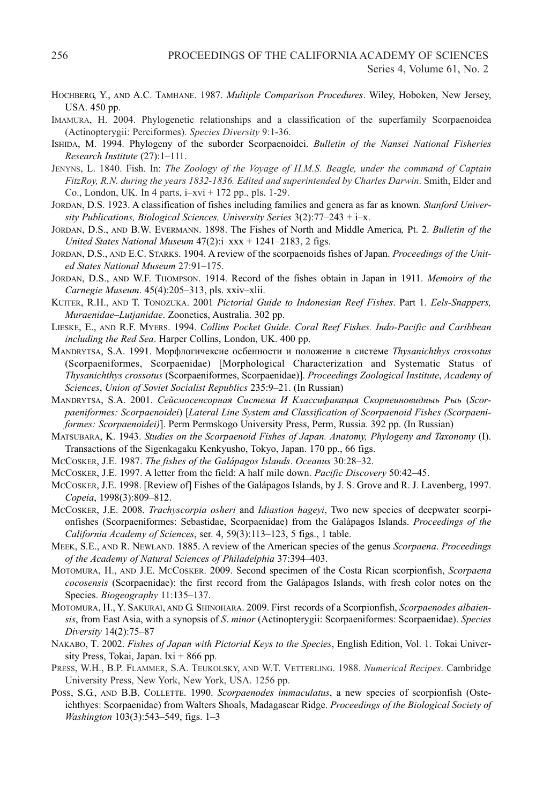- HOCHBERG, Y., AND A.C. TAMHANE. 1987. *Multiple Comparison Procedures*. Wiley, Hoboken, New Jersey, USA. 450 pp.
- IMAMURA, H. 2004. Phylogenetic relationships and a classification of the superfamily Scorpaenoidea (Actinopterygii: Perciformes). *Species Diversity* 9:1-36.
- ISHIDA, M. 1994. Phylogeny of the suborder Scorpaenoidei. *Bulletin of the Nansei National Fisheries Research Institute* (27):1–111.
- JENYNS, L. 1840. Fish. In: *The Zoology of the Voyage of H.M.S. Beagle, under the command of Captain FitzRoy, R.N. during the years 1832-1836. Edited and superintended by Charles Darwin*. Smith, Elder and Co., London, UK. In 4 parts, i–xvi + 172 pp., pls. 1-29.
- JORDAN, D.S. 1923. A classification of fishes including families and genera as far as known. *Stanford University Publications, Biological Sciences, University Series* 3(2):77–243 + i–x.
- JORDAN, D.S., AND B.W. EVERMANN. 1898. The Fishes of North and Middle America*,* Pt. 2. *Bulletin of the United States National Museum* 47(2):i–xxx + 1241–2183, 2 figs.
- JORDAN, D.S., AND E.C. STARKS. 1904. A review of the scorpaenoids fishes of Japan. *Proceedings of the United States National Museum* 27:91–175.
- JORDAN, D.S., AND W.F. THOMPSON. 1914. Record of the fishes obtain in Japan in 1911. *Memoirs of the Carnegie Museum*. 45(4):205–313, pls. xxiv–xlii.
- KUITER, R.H., AND T. TONOZUKA. 2001 *Pictorial Guide to Indonesian Reef Fishes*. Part 1. *Eels-Snappers, Muraenidae–Lutjanidae*. Zoonetics, Australia. 302 pp.
- LIESKE, E., AND R.F. MYERS. 1994. *Collins Pocket Guide. Coral Reef Fishes. Indo-Pacific and Caribbean including the Red Sea*. Harper Collins, London, UK. 400 pp.
- MANDRYTSA, S.A. 1991. Морфлогичексие осбенности и положение в системе *Thysanichthys crossotus* (Scorpaeniformes, Scorpaenidae) [Morphological Characterization and Systematic Status of *Thysanichthys crossotus* (Scorpaeniformes, Scorpaenidae)]. *Proceedings Zoological Institute*, *Academy of Sciences*, *Union of Soviet Socialist Republics* 235:9–21. (In Russian)
- MANDRYTSA, S.A. 2001. *Сейсмосенсорная Система И Классификация Скорпеиновидныь Рыь* (*Scorpaeniformes: Scorpaenoidei*) [*Lateral Line System and Classification of Scorpaenoid Fishes (Scorpaeniformes: Scorpaenoidei)*]. Perm Permskogo University Press, Perm, Russia. 392 pp. (In Russian)
- MATSUBARA, K. 1943. *Studies on the Scorpaenoid Fishes of Japan. Anatomy, Phylogeny and Taxonomy* (I). Transactions of the Sigenkagaku Kenkyusho, Tokyo, Japan. 170 pp., 66 figs.
- MCCOSKER, J.E. 1987. *The fishes of the Galápagos Islands*. *Oceanus* 30:28–32.
- MCCOSKER, J.E. 1997. A letter from the field: A half mile down. *Pacific Discovery* 50:42–45.
- MCCOSKER, J.E. 1998. [Review of] Fishes of the Galápagos Islands, by J. S. Grove and R. J. Lavenberg, 1997. *Copeia*, 1998(3):809–812.
- MCCOSKER, J.E. 2008. *Trachyscorpia osheri* and *Idiastion hageyi*, Two new species of deepwater scorpionfishes (Scorpaeniformes: Sebastidae, Scorpaenidae) from the Galápagos Islands. *Proceedings of the California Academy of Sciences*, ser. 4, 59(3):113–123, 5 figs., 1 table.
- MEEK, S.E., AND R. NEWLAND. 1885. A review of the American species of the genus *Scorpaena*. *Proceedings of the Academy of Natural Sciences of Philadelphia* 37:394–403.
- MOTOMURA, H., AND J.E. MCCOSKER. 2009. Second specimen of the Costa Rican scorpionfish, *Scorpaena cocosensis* (Scorpaenidae): the first record from the Galápagos Islands, with fresh color notes on the Species. *Biogeography* 11:135–137.
- MOTOMURA, H., Y. SAKURAI, AND G. SHINOHARA. 2009. First records of a Scorpionfish, *Scorpaenodes albaiensis*, from East Asia, with a synopsis of *S*. *minor* (Actinopterygii: Scorpaeniformes: Scorpaenidae). *Species Diversity* 14(2):75–87
- NAKABO, T. 2002. *Fishes of Japan with Pictorial Keys to the Species*, English Edition, Vol. 1. Tokai University Press, Tokai, Japan. lxi + 866 pp.
- PRESS, W.H., B.P. FLAMMER, S.A. TEUKOLSKY, AND W.T. VETTERLING. 1988. *Numerical Recipes*. Cambridge University Press, New York, New York, USA. 1256 pp.
- POSS, S.G., AND B.B. COLLETTE. 1990. *Scorpaenodes immaculatus*, a new species of scorpionfish (Osteichthyes: Scorpaenidae) from Walters Shoals, Madagascar Ridge. *Proceedings of the Biological Society of Washington* 103(3):543–549, figs. 1–3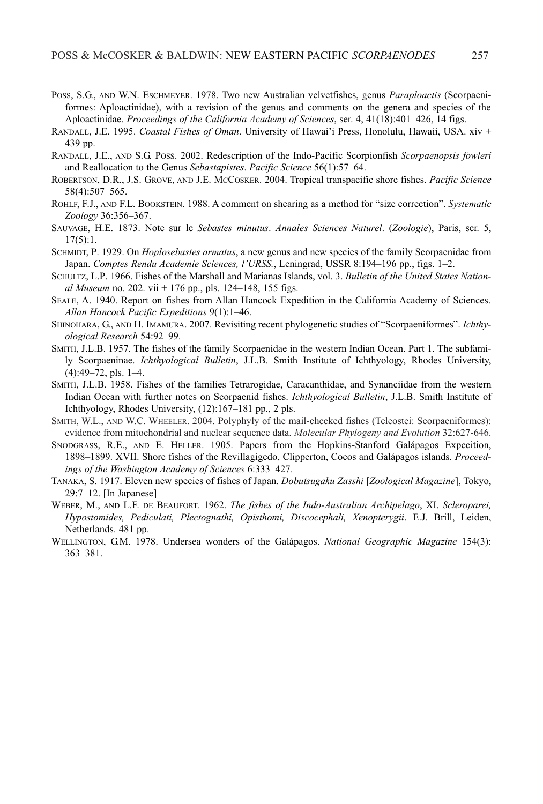- POSS, S.G., AND W.N. ESCHMEYER. 1978. Two new Australian velvetfishes, genus *Paraploactis* (Scorpaeniformes: Aploactinidae), with a revision of the genus and comments on the genera and species of the Aploactinidae. *Proceedings of the California Academy of Sciences*, ser. 4, 41(18):401–426, 14 figs.
- RANDALL, J.E. 1995. *Coastal Fishes of Oman*. University of Hawai'i Press, Honolulu, Hawaii, USA. xiv + 439 pp.
- RANDALL, J.E., AND S.G. POSS. 2002. Redescription of the Indo-Pacific Scorpionfish *Scorpaenopsis fowleri* and Reallocation to the Genus *Sebastapistes*. *Pacific Science* 56(1):57–64.
- ROBERTSON, D.R., J.S. GROVE, AND J.E. MCCOSKER. 2004. Tropical transpacific shore fishes. *Pacific Science* 58(4):507–565.
- ROHLF, F.J., AND F.L. BOOKSTEIN. 1988. A comment on shearing as a method for "size correction". *Systematic Zoology* 36:356–367.
- SAUVAGE, H.E. 1873. Note sur le *Sebastes minutus*. *Annales Sciences Naturel*. (*Zoologie*), Paris, ser. 5,  $17(5):1.$
- SCHMIDT, P. 1929. On *Hoplosebastes armatus*, a new genus and new species of the family Scorpaenidae from Japan. *Comptes Rendu Academie Sciences, l'URSS.*, Leningrad, USSR 8:194–196 pp., figs. 1–2.
- SCHULTZ, L.P. 1966. Fishes of the Marshall and Marianas Islands, vol. 3. *Bulletin of the United States National Museum* no. 202. vii + 176 pp., pls. 124–148, 155 figs.
- SEALE, A. 1940. Report on fishes from Allan Hancock Expedition in the California Academy of Sciences. *Allan Hancock Pacific Expeditions* 9(1):1–46.
- SHINOHARA, G., AND H. IMAMURA. 2007. Revisiting recent phylogenetic studies of "Scorpaeniformes". *Ichthyological Research* 54:92–99.
- SMITH, J.L.B. 1957. The fishes of the family Scorpaenidae in the western Indian Ocean. Part 1. The subfamily Scorpaeninae. *Ichthyological Bulletin*, J.L.B. Smith Institute of Ichthyology, Rhodes University, (4):49–72, pls. 1–4.
- SMITH, J.L.B. 1958. Fishes of the families Tetrarogidae, Caracanthidae, and Synanciidae from the western Indian Ocean with further notes on Scorpaenid fishes. *Ichthyological Bulletin*, J.L.B. Smith Institute of Ichthyology, Rhodes University, (12):167–181 pp., 2 pls.
- SMITH, W.L., AND W.C. WHEELER. 2004. Polyphyly of the mail-cheeked fishes (Teleostei: Scorpaeniformes): evidence from mitochondrial and nuclear sequence data. *Molecular Phylogeny and Evolution* 32:627-646.
- SNODGRASS, R.E., AND E. HELLER. 1905. Papers from the Hopkins-Stanford Galápagos Expecition, 1898–1899. XVII. Shore fishes of the Revillagigedo, Clipperton, Cocos and Galápagos islands. *Proceedings of the Washington Academy of Sciences* 6:333–427.
- TANAKA, S. 1917. Eleven new species of fishes of Japan. *Dobutsugaku Zasshi* [*Zoological Magazine*], Tokyo, 29:7–12. [In Japanese]
- WEBER, M., AND L.F. DE BEAUFORT. 1962. *The fishes of the Indo-Australian Archipelago*, XI. *Scleroparei, Hypostomides, Pediculati, Plectognathi, Opisthomi, Discocephali, Xenopterygii*. E.J. Brill, Leiden, Netherlands. 481 pp.
- WELLINGTON, G.M. 1978. Undersea wonders of the Galápagos. *National Geographic Magazine* 154(3): 363–381.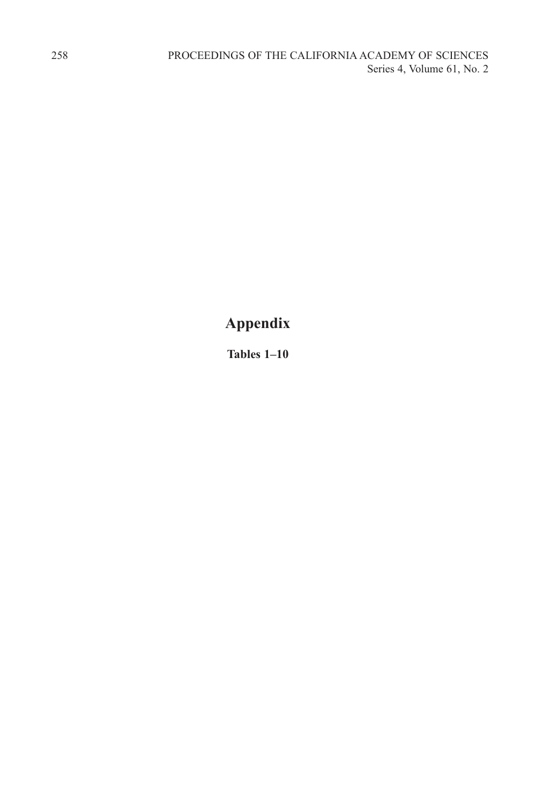# **Appendix**

**Tables 1–10**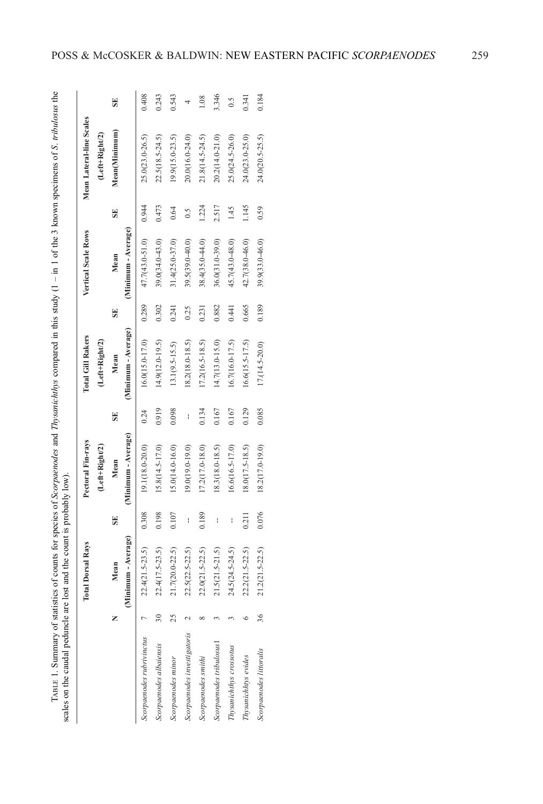| ֧֧֧֧֦֧֦֧֦֧ׅ֧֧֦֧ׅ֧֧ׅ֧ׅ֧֚֚֚֚֚֚֚֚֚֚֚֚֚֚֚֚֚֚֚֚֚֚֚֚֚֚֚֚֚֚֚֝֝֝֜֓֜֓֜֜<br>l<br>֖֖֖֖֖֖֖֧ׅ֧֪֪ׅ֖֚֚֚֚֚֚֚֚֚֚֚֚֚֚֚֚֚֚֚֚֚֚֚֚֚֚֬֝֝֝֓֞<br>1<br>Î<br>l<br>i<br>$\frac{1}{2}$<br>į<br>ļ<br>ļ<br>į<br>l |                                                           |
|-------------------------------------------------------------------------------------------------------------------------------------------------------------------------------------|-----------------------------------------------------------|
| Ì<br>ļ<br>j                                                                                                                                                                         | $\ddot{\phantom{a}}$                                      |
| $\tilde{\cdot}$<br>í<br>ì<br>$\frac{1}{2}$<br>¢<br>,                                                                                                                                | an<br>j<br>l<br>I<br>$\ddot{\phantom{a}}$                 |
| Ĭ<br>į<br>j<br>l<br>ĺ                                                                                                                                                               | Ï<br>ļ<br>j<br>֠<br>j<br>֠<br>I<br>I<br>l<br>è.<br>1<br>ļ |

|                             |                 | <b>Total Dorsal Rays</b> |       | Pectoral Fin-rays   |              | <b>Total Gill Rakers</b> |       | Vertical Scale Rows |                           | Mean Lateral-line Scales |       |
|-----------------------------|-----------------|--------------------------|-------|---------------------|--------------|--------------------------|-------|---------------------|---------------------------|--------------------------|-------|
|                             |                 |                          |       | (Left+Right/2)      |              | (Left+Right/2)           |       |                     |                           | (Left+Right/2)           |       |
|                             | z               | Mean                     | SE    | Mean                | $\mathbf{S}$ | Mean                     | SE    | Mean                | SE                        | Mean(Minimum)            | SE    |
|                             |                 | (Minimum - Average)      |       | (Minimum - Average) |              | (Minimum - Average)      |       | (Minimum - Average) |                           |                          |       |
| Scorpaenodes rubrivinctus   |                 | 22.4(21.5-23.5)          | 0.308 | 19.1(18.0-20.0)     | 0.24         | 16.0(15.0-17.0)          | 0.289 | 47.7(43.0-51.0)     | 0.944                     | 25.0(23.0-26.5)          | 0.408 |
| Scorpaenodes albaiensis     | $\overline{30}$ | $4(17.5 - 23.5)$<br>22.  | 0.198 | 15.8(14.5-17.0)     | 0.919        | $14.9(12.0 - 19.5)$      | 0.302 | 39.0(34.0-43.0)     | 0.473                     | 22.5(18.5-24.5)          | 0.243 |
| Scorpaenodes minor          | 25              | 21.7(20.0-22.5)          | 0.107 | 15.0(14.0-16.0)     | 0.098        | $13.1(9.5 - 15.5)$       | 0.241 | 31.4(25.0-37.0)     | 0.64                      | 19.9(15.0-23.5)          | 0.543 |
| Scorpaenodes investigatoris |                 | $22.5(22.5 - 22.5)$      |       | 19.0(19.0-19.0)     | I            | 18.2(18.0-18.5)          | 0.25  | 39.5(39.0-40.0)     | $\widetilde{\phantom{0}}$ | 20.0(16.0-24.0)          |       |
| Scorpaenodes smithi         |                 | 22.0(21.5-22.5)          | 0.189 | 17.2(17.0-18.0)     | 0.134        | $17.2(16.5 - 18.5)$      | 0.231 | 38.4(35.0-44.0)     | 1.224                     | 21.8(14.5-24.5)          | 1.08  |
| Scorpaenodes tribulosus1    |                 | $21.5(21.5-21.5)$        |       | 18.3(18.0-18.5)     | 0.167        | 14.7(13.0-15.0)          | 0.882 | 36.0(31.0-39.0)     | 2.517                     | 20.2(14.0-21.0)          | 3.346 |
| Thysanichthys crossotus     |                 | 24.5(24.5-24.5)          |       | 16.6(16.5-17.0)     | 0.167        | $16.7(16.0 - 17.5)$      | 0.441 | 45.7(43.0-48.0)     | 1.45                      | 25.0(24.5-26.0)          | 0.5   |
| Thysanichhtys evides        |                 | 22.2(21.5-22.5)          | 0.211 | 18.0(17.5-18.5)     | 0.129        | $16.6(15.5 - 17.5)$      | 0.665 | 42.7(38.0-46.0)     | 1.145                     | 24.0(23.0-25.0)          | 0.341 |
| Scorpaenodes littoralis     | 36              | 21.2(21.5-22.5)          | 0.076 | 18.2(17.0-19.0)     | 0.085        | 17.(14.5-20.0)           | 0.189 | 39.9(33.0-46.0)     | 0.59                      | 24.0(20.5-25.5)          | 0.184 |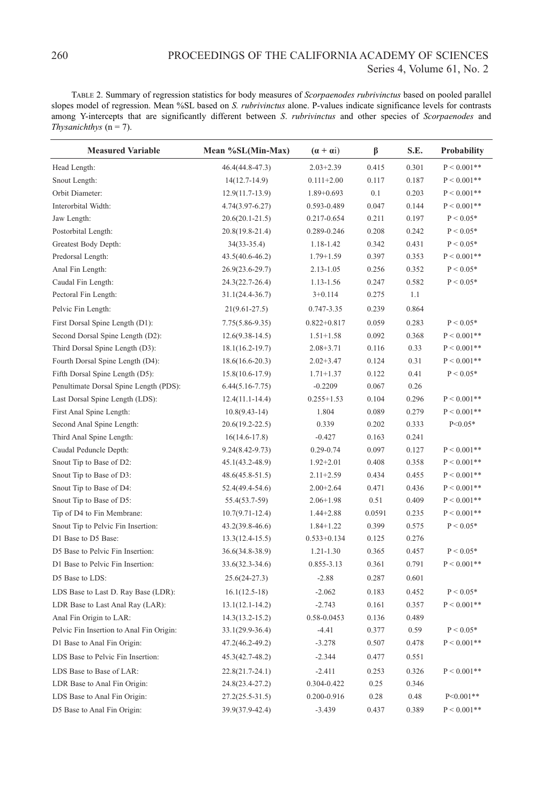TABLE 2. Summary of regression statistics for body measures of *Scorpaenodes rubrivinctus* based on pooled parallel slopes model of regression. Mean %SL based on *S. rubrivinctus* alone. P-values indicate significance levels for contrasts among Y-intercepts that are significantly different between *S*. *rubrivinctus* and other species of *Scorpaenodes* and *Thysanichthys* (n = 7).

| <b>Measured Variable</b>                 | Mean %SL(Min-Max)   | $(a + ai)$      | β      | S.E.  | <b>Probability</b> |
|------------------------------------------|---------------------|-----------------|--------|-------|--------------------|
| Head Length:                             | 46.4(44.8-47.3)     | $2.03 + 2.39$   | 0.415  | 0.301 | $P < 0.001**$      |
| Snout Length:                            | $14(12.7-14.9)$     | $0.111 + 2.00$  | 0.117  | 0.187 | $P < 0.001**$      |
| Orbit Diameter:                          | $12.9(11.7-13.9)$   | 1.89+0.693      | 0.1    | 0.203 | $P < 0.001**$      |
| Interorbital Width:                      | 4.74(3.97-6.27)     | 0.593-0.489     | 0.047  | 0.144 | $P < 0.001**$      |
| Jaw Length:                              | $20.6(20.1 - 21.5)$ | 0.217-0.654     | 0.211  | 0.197 | $P < 0.05*$        |
| Postorbital Length:                      | $20.8(19.8-21.4)$   | 0.289-0.246     | 0.208  | 0.242 | $P < 0.05*$        |
| Greatest Body Depth:                     | $34(33-35.4)$       | 1.18-1.42       | 0.342  | 0.431 | $P < 0.05*$        |
| Predorsal Length:                        | $43.5(40.6 - 46.2)$ | $1.79 + 1.59$   | 0.397  | 0.353 | $P < 0.001**$      |
| Anal Fin Length:                         | 26.9(23.6-29.7)     | 2.13-1.05       | 0.256  | 0.352 | $P < 0.05*$        |
| Caudal Fin Length:                       | 24.3(22.7-26.4)     | 1.13-1.56       | 0.247  | 0.582 | $P < 0.05*$        |
| Pectoral Fin Length:                     | 31.1(24.4-36.7)     | $3+0.114$       | 0.275  | 1.1   |                    |
| Pelvic Fin Length:                       | $21(9.61 - 27.5)$   | 0.747-3.35      | 0.239  | 0.864 |                    |
| First Dorsal Spine Length (D1):          | $7.75(5.86 - 9.35)$ | $0.822 + 0.817$ | 0.059  | 0.283 | $P < 0.05*$        |
| Second Dorsal Spine Length (D2):         | $12.6(9.38-14.5)$   | $1.51 + 1.58$   | 0.092  | 0.368 | $P < 0.001**$      |
| Third Dorsal Spine Length (D3):          | $18.1(16.2 - 19.7)$ | $2.08 + 3.71$   | 0.116  | 0.33  | $P < 0.001**$      |
| Fourth Dorsal Spine Length (D4):         | $18.6(16.6 - 20.3)$ | $2.02 + 3.47$   | 0.124  | 0.31  | $P < 0.001**$      |
| Fifth Dorsal Spine Length (D5):          | $15.8(10.6 - 17.9)$ | $1.71 + 1.37$   | 0.122  | 0.41  | $P < 0.05*$        |
| Penultimate Dorsal Spine Length (PDS):   | $6.44(5.16 - 7.75)$ | $-0.2209$       | 0.067  | 0.26  |                    |
| Last Dorsal Spine Length (LDS):          | $12.4(11.1-14.4)$   | $0.255 + 1.53$  | 0.104  | 0.296 | $P < 0.001**$      |
| First Anal Spine Length:                 | $10.8(9.43-14)$     | 1.804           | 0.089  | 0.279 | $P < 0.001**$      |
| Second Anal Spine Length:                | 20.6(19.2-22.5)     | 0.339           | 0.202  | 0.333 | $P < 0.05*$        |
| Third Anal Spine Length:                 | $16(14.6 - 17.8)$   | $-0.427$        | 0.163  | 0.241 |                    |
| Caudal Peduncle Depth:                   | $9.24(8.42 - 9.73)$ | $0.29 - 0.74$   | 0.097  | 0.127 | $P < 0.001**$      |
| Snout Tip to Base of D2:                 | 45.1(43.2-48.9)     | $1.92 + 2.01$   | 0.408  | 0.358 | $P < 0.001**$      |
| Snout Tip to Base of D3:                 | $48.6(45.8 - 51.5)$ | $2.11 + 2.59$   | 0.434  | 0.455 | $P < 0.001**$      |
| Snout Tip to Base of D4:                 | $52.4(49.4-54.6)$   | $2.00 + 2.64$   | 0.471  | 0.436 | $P < 0.001**$      |
| Snout Tip to Base of D5:                 | $55.4(53.7-59)$     | $2.06 + 1.98$   | 0.51   | 0.409 | $P < 0.001**$      |
| Tip of D4 to Fin Membrane:               | $10.7(9.71 - 12.4)$ | $1.44 + 2.88$   | 0.0591 | 0.235 | $P < 0.001**$      |
| Snout Tip to Pelvic Fin Insertion:       | 43.2(39.8-46.6)     | $1.84 + 1.22$   | 0.399  | 0.575 | $P < 0.05*$        |
| D1 Base to D5 Base:                      | $13.3(12.4 - 15.5)$ | $0.533 + 0.134$ | 0.125  | 0.276 |                    |
| D5 Base to Pelvic Fin Insertion:         | 36.6(34.8-38.9)     | $1.21 - 1.30$   | 0.365  | 0.457 | $P < 0.05*$        |
| D1 Base to Pelvic Fin Insertion:         | 33.6(32.3-34.6)     | 0.855-3.13      | 0.361  | 0.791 | $P < 0.001**$      |
| D5 Base to LDS:                          | $25.6(24-27.3)$     | $-2.88$         | 0.287  | 0.601 |                    |
| LDS Base to Last D. Ray Base (LDR):      | $16.1(12.5-18)$     | $-2.062$        | 0.183  | 0.452 | $P < 0.05*$        |
| LDR Base to Last Anal Ray (LAR):         | $13.1(12.1-14.2)$   | $-2.743$        | 0.161  | 0.357 | $P < 0.001**$      |
| Anal Fin Origin to LAR:                  | $14.3(13.2 - 15.2)$ | 0.58-0.0453     | 0.136  | 0.489 |                    |
| Pelvic Fin Insertion to Anal Fin Origin: | $33.1(29.9-36.4)$   | $-4.41$         | 0.377  | 0.59  | $P < 0.05*$        |
| D1 Base to Anal Fin Origin:              | 47.2(46.2-49.2)     | $-3.278$        | 0.507  | 0.478 | $P < 0.001**$      |
| LDS Base to Pelvic Fin Insertion:        | $45.3(42.7 - 48.2)$ | $-2.344$        | 0.477  | 0.551 |                    |
| LDS Base to Base of LAR:                 | 22.8(21.7-24.1)     | $-2.411$        | 0.253  | 0.326 | $P < 0.001**$      |
| LDR Base to Anal Fin Origin:             | 24.8(23.4-27.2)     | 0.304-0.422     | 0.25   | 0.346 |                    |
| LDS Base to Anal Fin Origin:             | $27.2(25.5 - 31.5)$ | 0.200-0.916     | 0.28   | 0.48  | $P < 0.001**$      |
| D5 Base to Anal Fin Origin:              | 39.9(37.9-42.4)     | $-3.439$        | 0.437  | 0.389 | $P < 0.001**$      |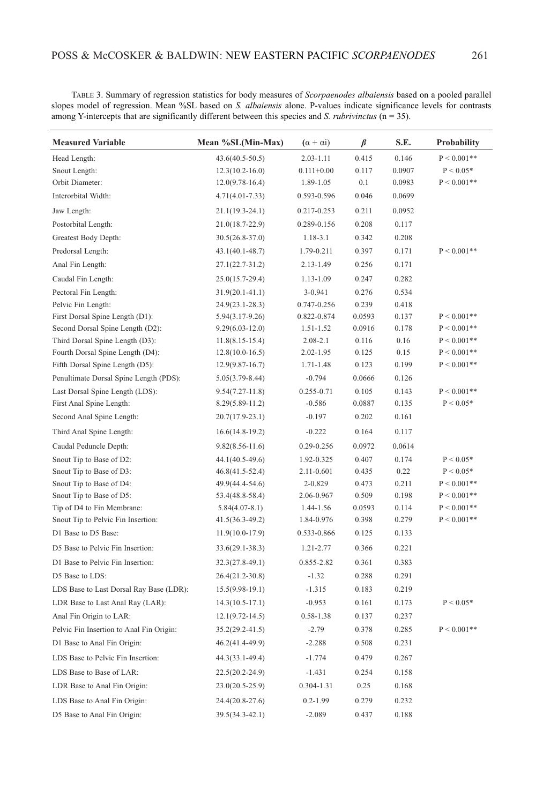TABLE 3. Summary of regression statistics for body measures of *Scorpaenodes albaiensis* based on a pooled parallel slopes model of regression. Mean %SL based on *S. albaiensis* alone. P-values indicate significance levels for contrasts among Y-intercepts that are significantly different between this species and *S. rubrivinctus* ( $n = 35$ ).

| <b>Measured Variable</b>                 | Mean %SL(Min-Max)   | $(\alpha + \alpha i)$ | β      | S.E.   | <b>Probability</b> |
|------------------------------------------|---------------------|-----------------------|--------|--------|--------------------|
| Head Length:                             | $43.6(40.5 - 50.5)$ | 2.03-1.11             | 0.415  | 0.146  | $P < 0.001**$      |
| Snout Length:                            | $12.3(10.2 - 16.0)$ | $0.111 + 0.00$        | 0.117  | 0.0907 | $P < 0.05*$        |
| Orbit Diameter:                          | $12.0(9.78-16.4)$   | 1.89-1.05             | 0.1    | 0.0983 | $P < 0.001**$      |
| Interorbital Width:                      | $4.71(4.01 - 7.33)$ | 0.593-0.596           | 0.046  | 0.0699 |                    |
| Jaw Length:                              | $21.1(19.3-24.1)$   | 0.217-0.253           | 0.211  | 0.0952 |                    |
| Postorbital Length:                      | 21.0(18.7-22.9)     | 0.289-0.156           | 0.208  | 0.117  |                    |
| Greatest Body Depth:                     | $30.5(26.8 - 37.0)$ | $1.18 - 3.1$          | 0.342  | 0.208  |                    |
| Predorsal Length:                        | $43.1(40.1 - 48.7)$ | 1.79-0.211            | 0.397  | 0.171  | $P < 0.001**$      |
| Anal Fin Length:                         | $27.1(22.7-31.2)$   | 2.13-1.49             | 0.256  | 0.171  |                    |
| Caudal Fin Length:                       | $25.0(15.7-29.4)$   | 1.13-1.09             | 0.247  | 0.282  |                    |
| Pectoral Fin Length:                     | $31.9(20.1 - 41.1)$ | $3 - 0.941$           | 0.276  | 0.534  |                    |
| Pelvic Fin Length:                       | 24.9(23.1-28.3)     | 0.747-0.256           | 0.239  | 0.418  |                    |
| First Dorsal Spine Length (D1):          | $5.94(3.17-9.26)$   | 0.822-0.874           | 0.0593 | 0.137  | $P < 0.001**$      |
| Second Dorsal Spine Length (D2):         | $9.29(6.03 - 12.0)$ | 1.51-1.52             | 0.0916 | 0.178  | $P < 0.001**$      |
| Third Dorsal Spine Length (D3):          | $11.8(8.15 - 15.4)$ | $2.08 - 2.1$          | 0.116  | 0.16   | $P < 0.001**$      |
| Fourth Dorsal Spine Length (D4):         | $12.8(10.0-16.5)$   | 2.02-1.95             | 0.125  | 0.15   | $P < 0.001**$      |
| Fifth Dorsal Spine Length (D5):          | $12.9(9.87-16.7)$   | 1.71-1.48             | 0.123  | 0.199  | $P < 0.001**$      |
| Penultimate Dorsal Spine Length (PDS):   | $5.05(3.79 - 8.44)$ | $-0.794$              | 0.0666 | 0.126  |                    |
| Last Dorsal Spine Length (LDS):          | $9.54(7.27-11.8)$   | 0.255-0.71            | 0.105  | 0.143  | $P < 0.001**$      |
| First Anal Spine Length:                 | $8.29(5.89 - 11.2)$ | $-0.586$              | 0.0887 | 0.135  | $P < 0.05*$        |
| Second Anal Spine Length:                | 20.7(17.9-23.1)     | $-0.197$              | 0.202  | 0.161  |                    |
| Third Anal Spine Length:                 | $16.6(14.8-19.2)$   | $-0.222$              | 0.164  | 0.117  |                    |
| Caudal Peduncle Depth:                   | $9.82(8.56 - 11.6)$ | 0.29-0.256            | 0.0972 | 0.0614 |                    |
| Snout Tip to Base of D2:                 | 44.1(40.5-49.6)     | 1.92-0.325            | 0.407  | 0.174  | $P < 0.05*$        |
| Snout Tip to Base of D3:                 | 46.8(41.5-52.4)     | 2.11-0.601            | 0.435  | 0.22   | $P < 0.05*$        |
| Snout Tip to Base of D4:                 | 49.9(44.4-54.6)     | 2-0.829               | 0.473  | 0.211  | $P < 0.001**$      |
| Snout Tip to Base of D5:                 | 53.4(48.8-58.4)     | 2.06-0.967            | 0.509  | 0.198  | $P < 0.001**$      |
| Tip of D4 to Fin Membrane:               | $5.84(4.07-8.1)$    | 1.44-1.56             | 0.0593 | 0.114  | $P < 0.001**$      |
| Snout Tip to Pelvic Fin Insertion:       | $41.5(36.3-49.2)$   | 1.84-0.976            | 0.398  | 0.279  | $P < 0.001**$      |
| D1 Base to D5 Base:                      | $11.9(10.0-17.9)$   | 0.533-0.866           | 0.125  | 0.133  |                    |
| D5 Base to Pelvic Fin Insertion:         | $33.6(29.1 - 38.3)$ | 1.21-2.77             | 0.366  | 0.221  |                    |
| D1 Base to Pelvic Fin Insertion:         | $32.3(27.8-49.1)$   | 0.855-2.82            | 0.361  | 0.383  |                    |
| D5 Base to LDS:                          | 26.4(21.2-30.8)     | $-1.32$               | 0.288  | 0.291  |                    |
| LDS Base to Last Dorsal Ray Base (LDR):  | $15.5(9.98-19.1)$   | $-1.315$              | 0.183  | 0.219  |                    |
| LDR Base to Last Anal Ray (LAR):         | $14.3(10.5 - 17.1)$ | $-0.953$              | 0.161  | 0.173  | $P < 0.05*$        |
| Anal Fin Origin to LAR:                  | $12.1(9.72 - 14.5)$ | 0.58-1.38             | 0.137  | 0.237  |                    |
| Pelvic Fin Insertion to Anal Fin Origin: | $35.2(29.2 - 41.5)$ | $-2.79$               | 0.378  | 0.285  | $P < 0.001**$      |
| D1 Base to Anal Fin Origin:              | 46.2(41.4-49.9)     | $-2.288$              | 0.508  | 0.231  |                    |
| LDS Base to Pelvic Fin Insertion:        | 44.3(33.1-49.4)     | $-1.774$              | 0.479  | 0.267  |                    |
| LDS Base to Base of LAR:                 | 22.5(20.2-24.9)     | $-1.431$              | 0.254  | 0.158  |                    |
| LDR Base to Anal Fin Origin:             | $23.0(20.5 - 25.9)$ | 0.304-1.31            | 0.25   | 0.168  |                    |
| LDS Base to Anal Fin Origin:             | 24.4(20.8-27.6)     | $0.2 - 1.99$          | 0.279  | 0.232  |                    |
| D5 Base to Anal Fin Origin:              | 39.5(34.3-42.1)     | $-2.089$              | 0.437  | 0.188  |                    |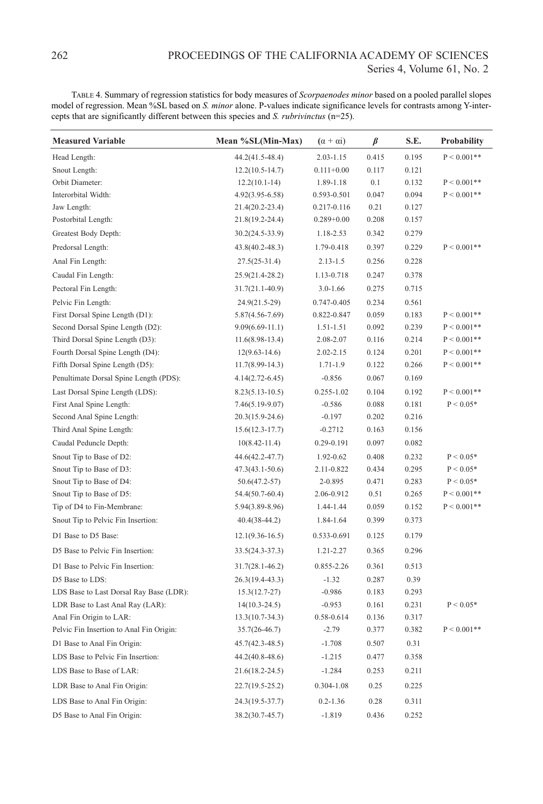TABLE 4. Summary of regression statistics for body measures of *Scorpaenodes minor* based on a pooled parallel slopes model of regression. Mean %SL based on *S. minor* alone. P-values indicate significance levels for contrasts among Y-intercepts that are significantly different between this species and *S. rubrivinctus* (n=25).

| <b>Measured Variable</b>                 | Mean %SL(Min-Max)   | $(\alpha + \alpha i)$ | β     | S.E.  | <b>Probability</b> |
|------------------------------------------|---------------------|-----------------------|-------|-------|--------------------|
| Head Length:                             | 44.2(41.5-48.4)     | $2.03 - 1.15$         | 0.415 | 0.195 | $P < 0.001**$      |
| Snout Length:                            | $12.2(10.5-14.7)$   | $0.111 + 0.00$        | 0.117 | 0.121 |                    |
| Orbit Diameter:                          | $12.2(10.1-14)$     | 1.89-1.18             | 0.1   | 0.132 | $P < 0.001**$      |
| Interorbital Width:                      | $4.92(3.95 - 6.58)$ | 0.593-0.501           | 0.047 | 0.094 | $P < 0.001**$      |
| Jaw Length:                              | 21.4(20.2-23.4)     | 0.217-0.116           | 0.21  | 0.127 |                    |
| Postorbital Length:                      | 21.8(19.2-24.4)     | $0.289 + 0.00$        | 0.208 | 0.157 |                    |
| Greatest Body Depth:                     | 30.2(24.5-33.9)     | 1.18-2.53             | 0.342 | 0.279 |                    |
| Predorsal Length:                        | 43.8(40.2-48.3)     | 1.79-0.418            | 0.397 | 0.229 | $P < 0.001**$      |
| Anal Fin Length:                         | $27.5(25-31.4)$     | $2.13 - 1.5$          | 0.256 | 0.228 |                    |
| Caudal Fin Length:                       | 25.9(21.4-28.2)     | 1.13-0.718            | 0.247 | 0.378 |                    |
| Pectoral Fin Length:                     | 31.7(21.1-40.9)     | $3.0 - 1.66$          | 0.275 | 0.715 |                    |
| Pelvic Fin Length:                       | 24.9(21.5-29)       | 0.747-0.405           | 0.234 | 0.561 |                    |
| First Dorsal Spine Length (D1):          | $5.87(4.56 - 7.69)$ | 0.822-0.847           | 0.059 | 0.183 | $P < 0.001**$      |
| Second Dorsal Spine Length (D2):         | $9.09(6.69-11.1)$   | $1.51 - 1.51$         | 0.092 | 0.239 | $P < 0.001**$      |
| Third Dorsal Spine Length (D3):          | $11.6(8.98-13.4)$   | 2.08-2.07             | 0.116 | 0.214 | $P < 0.001**$      |
| Fourth Dorsal Spine Length (D4):         | $12(9.63 - 14.6)$   | 2.02-2.15             | 0.124 | 0.201 | $P < 0.001**$      |
| Fifth Dorsal Spine Length (D5):          | $11.7(8.99-14.3)$   | 1.71-1.9              | 0.122 | 0.266 | $P < 0.001**$      |
| Penultimate Dorsal Spine Length (PDS):   | $4.14(2.72 - 6.45)$ | $-0.856$              | 0.067 | 0.169 |                    |
| Last Dorsal Spine Length (LDS):          | $8.23(5.13 - 10.5)$ | 0.255-1.02            | 0.104 | 0.192 | $P < 0.001**$      |
| First Anal Spine Length:                 | $7.46(5.19-9.07)$   | $-0.586$              | 0.088 | 0.181 | $P < 0.05*$        |
| Second Anal Spine Length:                | 20.3(15.9-24.6)     | $-0.197$              | 0.202 | 0.216 |                    |
| Third Anal Spine Length:                 | $15.6(12.3 - 17.7)$ | $-0.2712$             | 0.163 | 0.156 |                    |
| Caudal Peduncle Depth:                   | $10(8.42 - 11.4)$   | 0.29-0.191            | 0.097 | 0.082 |                    |
| Snout Tip to Base of D2:                 | 44.6(42.2-47.7)     | 1.92-0.62             | 0.408 | 0.232 | $P < 0.05*$        |
| Snout Tip to Base of D3:                 | 47.3(43.1-50.6)     | 2.11-0.822            | 0.434 | 0.295 | $P < 0.05*$        |
| Snout Tip to Base of D4:                 | $50.6(47.2 - 57)$   | 2-0.895               | 0.471 | 0.283 | $P < 0.05*$        |
| Snout Tip to Base of D5:                 | 54.4(50.7-60.4)     | 2.06-0.912            | 0.51  | 0.265 | $P < 0.001**$      |
| Tip of D4 to Fin-Membrane:               | 5.94(3.89-8.96)     | 1.44-1.44             | 0.059 | 0.152 | $P < 0.001**$      |
| Snout Tip to Pelvic Fin Insertion:       | $40.4(38-44.2)$     | 1.84-1.64             | 0.399 | 0.373 |                    |
| D1 Base to D5 Base:                      | $12.1(9.36-16.5)$   | 0.533-0.691           | 0.125 | 0.179 |                    |
| D5 Base to Pelvic Fin Insertion:         | 33.5(24.3-37.3)     | 1.21-2.27             | 0.365 | 0.296 |                    |
| D1 Base to Pelvic Fin Insertion:         | $31.7(28.1 - 46.2)$ | 0.855-2.26            | 0.361 | 0.513 |                    |
| D5 Base to LDS:                          | 26.3(19.4-43.3)     | $-1.32$               | 0.287 | 0.39  |                    |
| LDS Base to Last Dorsal Ray Base (LDR):  | $15.3(12.7-27)$     | $-0.986$              | 0.183 | 0.293 |                    |
| LDR Base to Last Anal Ray (LAR):         | $14(10.3 - 24.5)$   | $-0.953$              | 0.161 | 0.231 | $P < 0.05*$        |
| Anal Fin Origin to LAR:                  | $13.3(10.7 - 34.3)$ | 0.58-0.614            | 0.136 | 0.317 |                    |
| Pelvic Fin Insertion to Anal Fin Origin: | 35.7(26-46.7)       | $-2.79$               | 0.377 | 0.382 | $P < 0.001**$      |
| D1 Base to Anal Fin Origin:              | 45.7(42.3-48.5)     | $-1.708$              | 0.507 | 0.31  |                    |
| LDS Base to Pelvic Fin Insertion:        | 44.2(40.8-48.6)     | $-1.215$              | 0.477 | 0.358 |                    |
| LDS Base to Base of LAR:                 | 21.6(18.2-24.5)     | $-1.284$              | 0.253 | 0.211 |                    |
| LDR Base to Anal Fin Origin:             | 22.7(19.5-25.2)     | 0.304-1.08            | 0.25  | 0.225 |                    |
| LDS Base to Anal Fin Origin:             | 24.3(19.5-37.7)     | $0.2 - 1.36$          | 0.28  | 0.311 |                    |
| D5 Base to Anal Fin Origin:              | 38.2(30.7-45.7)     | $-1.819$              | 0.436 | 0.252 |                    |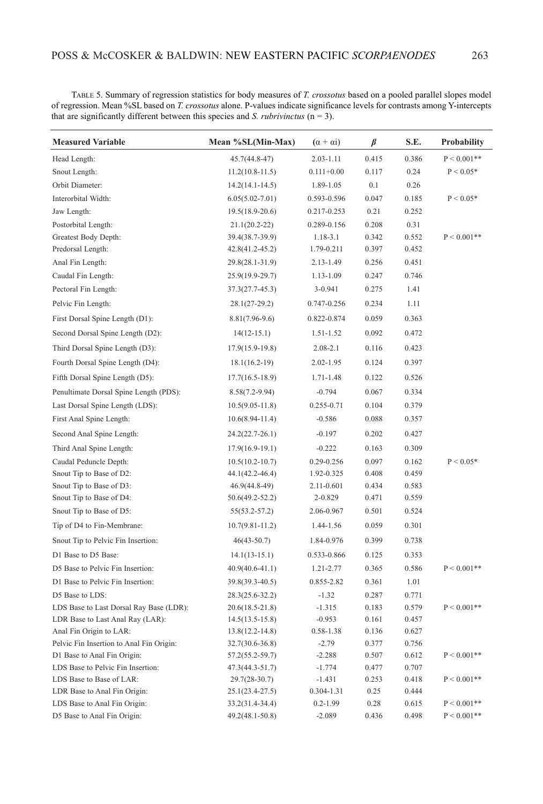TABLE 5. Summary of regression statistics for body measures of *T. crossotus* based on a pooled parallel slopes model of regression. Mean %SL based on *T. crossotus* alone. P-values indicate significance levels for contrasts among Y-intercepts that are significantly different between this species and *S. rubrivinctus* (n = 3).

| <b>Measured Variable</b>                 | Mean %SL(Min-Max)   | $(\alpha + \alpha i)$ | $\beta$ | S.E.  | <b>Probability</b> |
|------------------------------------------|---------------------|-----------------------|---------|-------|--------------------|
| Head Length:                             | 45.7(44.8-47)       | $2.03 - 1.11$         | 0.415   | 0.386 | $P < 0.001**$      |
| Snout Length:                            | $11.2(10.8-11.5)$   | $0.111 + 0.00$        | 0.117   | 0.24  | $P < 0.05*$        |
| Orbit Diameter:                          | $14.2(14.1 - 14.5)$ | 1.89-1.05             | 0.1     | 0.26  |                    |
| Interorbital Width:                      | $6.05(5.02 - 7.01)$ | 0.593-0.596           | 0.047   | 0.185 | $P < 0.05*$        |
| Jaw Length:                              | $19.5(18.9 - 20.6)$ | 0.217-0.253           | 0.21    | 0.252 |                    |
| Postorbital Length:                      | $21.1(20.2-22)$     | 0.289-0.156           | 0.208   | 0.31  |                    |
| Greatest Body Depth:                     | 39.4(38.7-39.9)     | $1.18 - 3.1$          | 0.342   | 0.552 | $P < 0.001$ **     |
| Predorsal Length:                        | 42.8(41.2-45.2)     | 1.79-0.211            | 0.397   | 0.452 |                    |
| Anal Fin Length:                         | 29.8(28.1-31.9)     | 2.13-1.49             | 0.256   | 0.451 |                    |
| Caudal Fin Length:                       | 25.9(19.9-29.7)     | 1.13-1.09             | 0.247   | 0.746 |                    |
| Pectoral Fin Length:                     | 37.3(27.7-45.3)     | 3-0.941               | 0.275   | 1.41  |                    |
| Pelvic Fin Length:                       | 28.1(27-29.2)       | 0.747-0.256           | 0.234   | 1.11  |                    |
| First Dorsal Spine Length (D1):          | $8.81(7.96-9.6)$    | 0.822-0.874           | 0.059   | 0.363 |                    |
| Second Dorsal Spine Length (D2):         | $14(12-15.1)$       | $1.51 - 1.52$         | 0.092   | 0.472 |                    |
| Third Dorsal Spine Length (D3):          | $17.9(15.9-19.8)$   | $2.08 - 2.1$          | 0.116   | 0.423 |                    |
| Fourth Dorsal Spine Length (D4):         | $18.1(16.2-19)$     | 2.02-1.95             | 0.124   | 0.397 |                    |
| Fifth Dorsal Spine Length (D5):          | $17.7(16.5 - 18.9)$ | $1.71 - 1.48$         | 0.122   | 0.526 |                    |
| Penultimate Dorsal Spine Length (PDS):   | $8.58(7.2 - 9.94)$  | $-0.794$              | 0.067   | 0.334 |                    |
| Last Dorsal Spine Length (LDS):          | $10.5(9.05 - 11.8)$ | 0.255-0.71            | 0.104   | 0.379 |                    |
| First Anal Spine Length:                 | $10.6(8.94-11.4)$   | $-0.586$              | 0.088   | 0.357 |                    |
| Second Anal Spine Length:                | 24.2(22.7-26.1)     | $-0.197$              | 0.202   | 0.427 |                    |
| Third Anal Spine Length:                 | $17.9(16.9-19.1)$   | $-0.222$              | 0.163   | 0.309 |                    |
| Caudal Peduncle Depth:                   | $10.5(10.2 - 10.7)$ | 0.29-0.256            | 0.097   | 0.162 | $P < 0.05*$        |
| Snout Tip to Base of D2:                 | 44.1(42.2-46.4)     | 1.92-0.325            | 0.408   | 0.459 |                    |
| Snout Tip to Base of D3:                 | 46.9(44.8-49)       | 2.11-0.601            | 0.434   | 0.583 |                    |
| Snout Tip to Base of D4:                 | 50.6(49.2-52.2)     | 2-0.829               | 0.471   | 0.559 |                    |
| Snout Tip to Base of D5:                 | 55(53.2-57.2)       | 2.06-0.967            | 0.501   | 0.524 |                    |
| Tip of D4 to Fin-Membrane:               | $10.7(9.81 - 11.2)$ | 1.44-1.56             | 0.059   | 0.301 |                    |
| Snout Tip to Pelvic Fin Insertion:       | $46(43-50.7)$       | 1.84-0.976            | 0.399   | 0.738 |                    |
| D1 Base to D5 Base:                      | $14.1(13-15.1)$     | 0.533-0.866           | 0.125   | 0.353 |                    |
| D5 Base to Pelvic Fin Insertion:         | $40.9(40.6 - 41.1)$ | 1.21-2.77             | 0.365   | 0.586 | $P < 0.001**$      |
| D1 Base to Pelvic Fin Insertion:         | 39.8(39.3-40.5)     | 0.855-2.82            | 0.361   | 1.01  |                    |
| D5 Base to LDS:                          | 28.3(25.6-32.2)     | $-1.32$               | 0.287   | 0.771 |                    |
| LDS Base to Last Dorsal Ray Base (LDR):  | $20.6(18.5 - 21.8)$ | $-1.315$              | 0.183   | 0.579 | $P < 0.001**$      |
| LDR Base to Last Anal Ray (LAR):         | $14.5(13.5-15.8)$   | $-0.953$              | 0.161   | 0.457 |                    |
| Anal Fin Origin to LAR:                  | $13.8(12.2 - 14.8)$ | 0.58-1.38             | 0.136   | 0.627 |                    |
| Pelvic Fin Insertion to Anal Fin Origin: | 32.7(30.6-36.8)     | $-2.79$               | 0.377   | 0.756 |                    |
| D1 Base to Anal Fin Origin:              | 57.2(55.2-59.7)     | $-2.288$              | 0.507   | 0.612 | $P < 0.001**$      |
| LDS Base to Pelvic Fin Insertion:        | $47.3(44.3 - 51.7)$ | $-1.774$              | 0.477   | 0.707 |                    |
| LDS Base to Base of LAR:                 | 29.7(28-30.7)       | $-1.431$              | 0.253   | 0.418 | $P < 0.001**$      |
| LDR Base to Anal Fin Origin:             | 25.1(23.4-27.5)     | $0.304 - 1.31$        | 0.25    | 0.444 |                    |
| LDS Base to Anal Fin Origin:             | 33.2(31.4-34.4)     | $0.2 - 1.99$          | 0.28    | 0.615 | $P < 0.001**$      |
| D5 Base to Anal Fin Origin:              | 49.2(48.1-50.8)     | $-2.089$              | 0.436   | 0.498 | $P < 0.001**$      |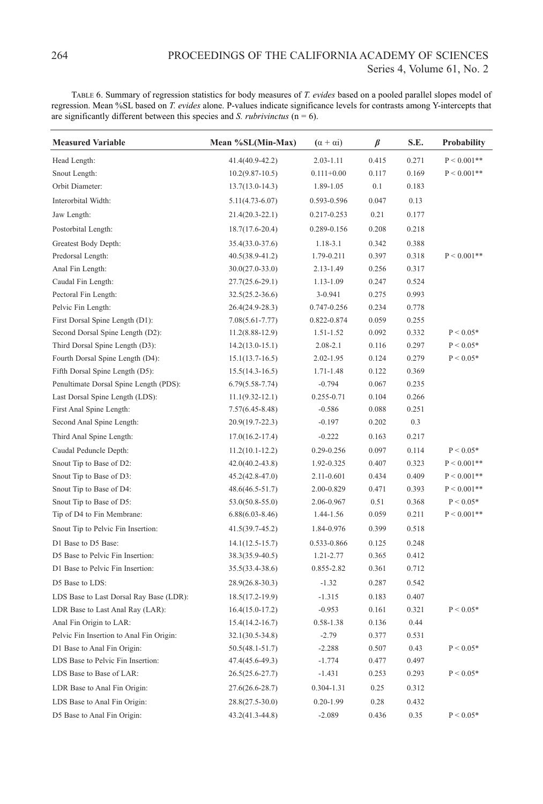TABLE 6. Summary of regression statistics for body measures of *T. evides* based on a pooled parallel slopes model of regression. Mean %SL based on *T. evides* alone. P-values indicate significance levels for contrasts among Y-intercepts that are significantly different between this species and *S. rubrivinctus* ( $n = 6$ ).

| <b>Measured Variable</b>                 | Mean %SL(Min-Max)   | $(\alpha + \alpha i)$ | β     | S.E.  | <b>Probability</b> |
|------------------------------------------|---------------------|-----------------------|-------|-------|--------------------|
| Head Length:                             | 41.4(40.9-42.2)     | $2.03 - 1.11$         | 0.415 | 0.271 | $P < 0.001**$      |
| Snout Length:                            | $10.2(9.87-10.5)$   | $0.111 + 0.00$        | 0.117 | 0.169 | $P < 0.001**$      |
| Orbit Diameter:                          | $13.7(13.0-14.3)$   | 1.89-1.05             | 0.1   | 0.183 |                    |
| Interorbital Width:                      | $5.11(4.73-6.07)$   | 0.593-0.596           | 0.047 | 0.13  |                    |
| Jaw Length:                              | $21.4(20.3 - 22.1)$ | 0.217-0.253           | 0.21  | 0.177 |                    |
| Postorbital Length:                      | $18.7(17.6 - 20.4)$ | 0.289-0.156           | 0.208 | 0.218 |                    |
| Greatest Body Depth:                     | $35.4(33.0 - 37.6)$ | 1.18-3.1              | 0.342 | 0.388 |                    |
| Predorsal Length:                        | $40.5(38.9 - 41.2)$ | 1.79-0.211            | 0.397 | 0.318 | $P < 0.001**$      |
| Anal Fin Length:                         | $30.0(27.0 - 33.0)$ | 2.13-1.49             | 0.256 | 0.317 |                    |
| Caudal Fin Length:                       | 27.7(25.6-29.1)     | 1.13-1.09             | 0.247 | 0.524 |                    |
| Pectoral Fin Length:                     | $32.5(25.2 - 36.6)$ | 3-0.941               | 0.275 | 0.993 |                    |
| Pelvic Fin Length:                       | 26.4(24.9-28.3)     | 0.747-0.256           | 0.234 | 0.778 |                    |
| First Dorsal Spine Length (D1):          | $7.08(5.61 - 7.77)$ | 0.822-0.874           | 0.059 | 0.255 |                    |
| Second Dorsal Spine Length (D2):         | $11.2(8.88-12.9)$   | $1.51 - 1.52$         | 0.092 | 0.332 | $P < 0.05*$        |
| Third Dorsal Spine Length (D3):          | $14.2(13.0-15.1)$   | $2.08 - 2.1$          | 0.116 | 0.297 | $P < 0.05*$        |
| Fourth Dorsal Spine Length (D4):         | $15.1(13.7-16.5)$   | 2.02-1.95             | 0.124 | 0.279 | $P < 0.05*$        |
| Fifth Dorsal Spine Length (D5):          | $15.5(14.3 - 16.5)$ | 1.71-1.48             | 0.122 | 0.369 |                    |
| Penultimate Dorsal Spine Length (PDS):   | $6.79(5.58-7.74)$   | $-0.794$              | 0.067 | 0.235 |                    |
| Last Dorsal Spine Length (LDS):          | $11.1(9.32 - 12.1)$ | 0.255-0.71            | 0.104 | 0.266 |                    |
| First Anal Spine Length:                 | $7.57(6.45 - 8.48)$ | $-0.586$              | 0.088 | 0.251 |                    |
| Second Anal Spine Length:                | $20.9(19.7 - 22.3)$ | $-0.197$              | 0.202 | 0.3   |                    |
| Third Anal Spine Length:                 | $17.0(16.2 - 17.4)$ | $-0.222$              | 0.163 | 0.217 |                    |
| Caudal Peduncle Depth:                   | $11.2(10.1 - 12.2)$ | $0.29 - 0.256$        | 0.097 | 0.114 | $P < 0.05*$        |
| Snout Tip to Base of D2:                 | $42.0(40.2 - 43.8)$ | 1.92-0.325            | 0.407 | 0.323 | $P < 0.001**$      |
| Snout Tip to Base of D3:                 | $45.2(42.8 - 47.0)$ | 2.11-0.601            | 0.434 | 0.409 | $P < 0.001**$      |
| Snout Tip to Base of D4:                 | $48.6(46.5 - 51.7)$ | 2.00-0.829            | 0.471 | 0.393 | $P < 0.001**$      |
| Snout Tip to Base of D5:                 | $53.0(50.8 - 55.0)$ | 2.06-0.967            | 0.51  | 0.368 | $P < 0.05*$        |
| Tip of D4 to Fin Membrane:               | $6.88(6.03 - 8.46)$ | 1.44-1.56             | 0.059 | 0.211 | $P < 0.001**$      |
| Snout Tip to Pelvic Fin Insertion:       | 41.5(39.7-45.2)     | 1.84-0.976            | 0.399 | 0.518 |                    |
| D1 Base to D5 Base:                      | $14.1(12.5 - 15.7)$ | 0.533-0.866           | 0.125 | 0.248 |                    |
| D5 Base to Pelvic Fin Insertion:         | $38.3(35.9 - 40.5)$ | $1.21 - 2.77$         | 0.365 | 0.412 |                    |
| D1 Base to Pelvic Fin Insertion:         | $35.5(33.4 - 38.6)$ | 0.855-2.82            | 0.361 | 0.712 |                    |
| D5 Base to LDS:                          | $28.9(26.8-30.3)$   | $-1.32$               | 0.287 | 0.542 |                    |
| LDS Base to Last Dorsal Ray Base (LDR):  | $18.5(17.2 - 19.9)$ | $-1.315$              | 0.183 | 0.407 |                    |
| LDR Base to Last Anal Ray (LAR):         | $16.4(15.0-17.2)$   | $-0.953$              | 0.161 | 0.321 | $P < 0.05*$        |
| Anal Fin Origin to LAR:                  | $15.4(14.2 - 16.7)$ | 0.58-1.38             | 0.136 | 0.44  |                    |
| Pelvic Fin Insertion to Anal Fin Origin: | 32.1(30.5-34.8)     | $-2.79$               | 0.377 | 0.531 |                    |
| D1 Base to Anal Fin Origin:              | $50.5(48.1 - 51.7)$ | $-2.288$              | 0.507 | 0.43  | $P < 0.05*$        |
| LDS Base to Pelvic Fin Insertion:        | $47.4(45.6 - 49.3)$ | $-1.774$              | 0.477 | 0.497 |                    |
| LDS Base to Base of LAR:                 | $26.5(25.6 - 27.7)$ | $-1.431$              | 0.253 | 0.293 | $P < 0.05*$        |
| LDR Base to Anal Fin Origin:             | $27.6(26.6 - 28.7)$ | 0.304-1.31            | 0.25  | 0.312 |                    |
| LDS Base to Anal Fin Origin:             | $28.8(27.5 - 30.0)$ | $0.20 - 1.99$         | 0.28  | 0.432 |                    |
| D5 Base to Anal Fin Origin:              | $43.2(41.3 - 44.8)$ | $-2.089$              | 0.436 | 0.35  | $P < 0.05*$        |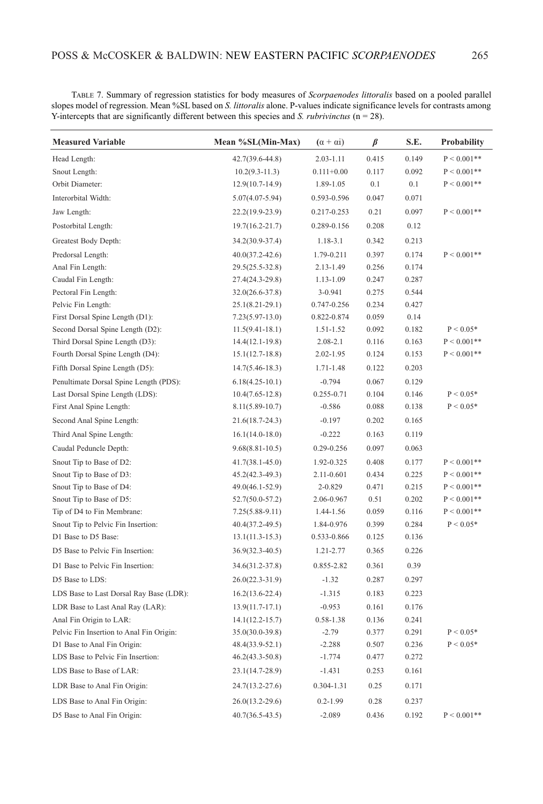TABLE 7. Summary of regression statistics for body measures of *Scorpaenodes littoralis* based on a pooled parallel slopes model of regression. Mean %SL based on *S. littoralis* alone. P-values indicate significance levels for contrasts among Y-intercepts that are significantly different between this species and *S. rubrivinctus* (n = 28).

| <b>Measured Variable</b>                 | Mean %SL(Min-Max)   | $(\alpha + \alpha i)$ | β     | S.E.  | Probability   |
|------------------------------------------|---------------------|-----------------------|-------|-------|---------------|
| Head Length:                             | 42.7(39.6-44.8)     | $2.03 - 1.11$         | 0.415 | 0.149 | $P < 0.001**$ |
| Snout Length:                            | $10.2(9.3 - 11.3)$  | $0.111 + 0.00$        | 0.117 | 0.092 | $P < 0.001**$ |
| Orbit Diameter:                          | $12.9(10.7-14.9)$   | 1.89-1.05             | 0.1   | 0.1   | $P < 0.001**$ |
| Interorbital Width:                      | $5.07(4.07 - 5.94)$ | 0.593-0.596           | 0.047 | 0.071 |               |
| Jaw Length:                              | $22.2(19.9-23.9)$   | 0.217-0.253           | 0.21  | 0.097 | $P < 0.001**$ |
| Postorbital Length:                      | $19.7(16.2 - 21.7)$ | 0.289-0.156           | 0.208 | 0.12  |               |
| Greatest Body Depth:                     | 34.2(30.9-37.4)     | 1.18-3.1              | 0.342 | 0.213 |               |
| Predorsal Length:                        | $40.0(37.2 - 42.6)$ | 1.79-0.211            | 0.397 | 0.174 | $P < 0.001**$ |
| Anal Fin Length:                         | $29.5(25.5 - 32.8)$ | 2.13-1.49             | 0.256 | 0.174 |               |
| Caudal Fin Length:                       | 27.4(24.3-29.8)     | 1.13-1.09             | 0.247 | 0.287 |               |
| Pectoral Fin Length:                     | $32.0(26.6 - 37.8)$ | 3-0.941               | 0.275 | 0.544 |               |
| Pelvic Fin Length:                       | $25.1(8.21 - 29.1)$ | 0.747-0.256           | 0.234 | 0.427 |               |
| First Dorsal Spine Length (D1):          | $7.23(5.97-13.0)$   | 0.822-0.874           | 0.059 | 0.14  |               |
| Second Dorsal Spine Length (D2):         | $11.5(9.41-18.1)$   | $1.51 - 1.52$         | 0.092 | 0.182 | $P < 0.05*$   |
| Third Dorsal Spine Length (D3):          | $14.4(12.1-19.8)$   | 2.08-2.1              | 0.116 | 0.163 | $P < 0.001**$ |
| Fourth Dorsal Spine Length (D4):         | $15.1(12.7-18.8)$   | 2.02-1.95             | 0.124 | 0.153 | $P < 0.001**$ |
| Fifth Dorsal Spine Length (D5):          | $14.7(5.46 - 18.3)$ | 1.71-1.48             | 0.122 | 0.203 |               |
| Penultimate Dorsal Spine Length (PDS):   | $6.18(4.25-10.1)$   | $-0.794$              | 0.067 | 0.129 |               |
| Last Dorsal Spine Length (LDS):          | $10.4(7.65-12.8)$   | 0.255-0.71            | 0.104 | 0.146 | $P < 0.05*$   |
| First Anal Spine Length:                 | $8.11(5.89-10.7)$   | $-0.586$              | 0.088 | 0.138 | $P < 0.05*$   |
| Second Anal Spine Length:                | 21.6(18.7-24.3)     | $-0.197$              | 0.202 | 0.165 |               |
| Third Anal Spine Length:                 | $16.1(14.0-18.0)$   | $-0.222$              | 0.163 | 0.119 |               |
| Caudal Peduncle Depth:                   | $9.68(8.81-10.5)$   | 0.29-0.256            | 0.097 | 0.063 |               |
| Snout Tip to Base of D2:                 | $41.7(38.1 - 45.0)$ | 1.92-0.325            | 0.408 | 0.177 | $P < 0.001**$ |
| Snout Tip to Base of D3:                 | $45.2(42.3 - 49.3)$ | 2.11-0.601            | 0.434 | 0.225 | $P < 0.001**$ |
| Snout Tip to Base of D4:                 | 49.0(46.1-52.9)     | 2-0.829               | 0.471 | 0.215 | $P < 0.001**$ |
| Snout Tip to Base of D5:                 | $52.7(50.0-57.2)$   | 2.06-0.967            | 0.51  | 0.202 | $P < 0.001**$ |
| Tip of D4 to Fin Membrane:               | $7.25(5.88-9.11)$   | 1.44-1.56             | 0.059 | 0.116 | $P < 0.001**$ |
| Snout Tip to Pelvic Fin Insertion:       | $40.4(37.2 - 49.5)$ | 1.84-0.976            | 0.399 | 0.284 | $P < 0.05*$   |
| D1 Base to D5 Base:                      | $13.1(11.3-15.3)$   | 0.533-0.866           | 0.125 | 0.136 |               |
| D5 Base to Pelvic Fin Insertion:         | $36.9(32.3-40.5)$   | 1.21-2.77             | 0.365 | 0.226 |               |
| D1 Base to Pelvic Fin Insertion:         | 34.6(31.2-37.8)     | 0.855-2.82            | 0.361 | 0.39  |               |
| D5 Base to LDS:                          | $26.0(22.3 - 31.9)$ | $-1.32$               | 0.287 | 0.297 |               |
| LDS Base to Last Dorsal Ray Base (LDR):  | $16.2(13.6-22.4)$   | $-1.315$              | 0.183 | 0.223 |               |
| LDR Base to Last Anal Ray (LAR):         | $13.9(11.7-17.1)$   | $-0.953$              | 0.161 | 0.176 |               |
| Anal Fin Origin to LAR:                  | $14.1(12.2 - 15.7)$ | 0.58-1.38             | 0.136 | 0.241 |               |
| Pelvic Fin Insertion to Anal Fin Origin: | 35.0(30.0-39.8)     | $-2.79$               | 0.377 | 0.291 | $P < 0.05*$   |
| D1 Base to Anal Fin Origin:              | 48.4(33.9-52.1)     | $-2.288$              | 0.507 | 0.236 | $P < 0.05*$   |
| LDS Base to Pelvic Fin Insertion:        | $46.2(43.3-50.8)$   | $-1.774$              | 0.477 | 0.272 |               |
| LDS Base to Base of LAR:                 | $23.1(14.7-28.9)$   | $-1.431$              | 0.253 | 0.161 |               |
| LDR Base to Anal Fin Origin:             | 24.7(13.2-27.6)     | 0.304-1.31            | 0.25  | 0.171 |               |
| LDS Base to Anal Fin Origin:             | $26.0(13.2 - 29.6)$ | $0.2 - 1.99$          | 0.28  | 0.237 |               |
| D5 Base to Anal Fin Origin:              | $40.7(36.5 - 43.5)$ | $-2.089$              | 0.436 | 0.192 | $P < 0.001**$ |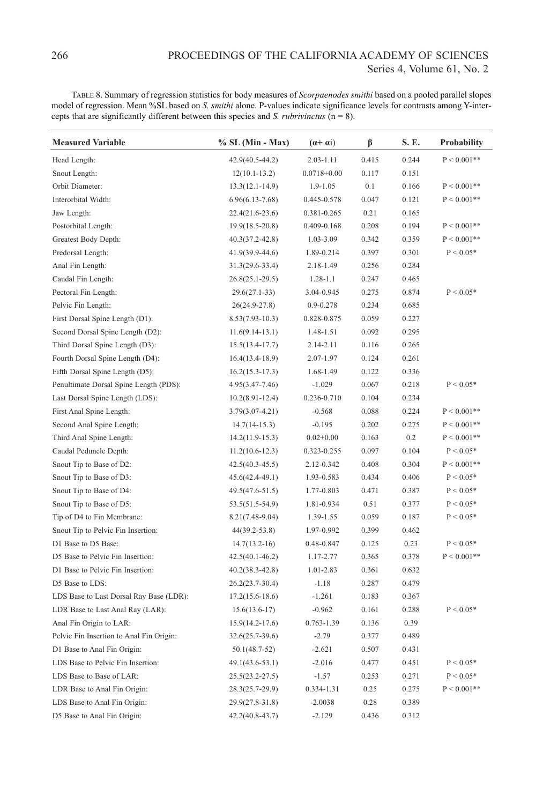TABLE 8. Summary of regression statistics for body measures of *Scorpaenodes smithi* based on a pooled parallel slopes model of regression. Mean %SL based on *S. smithi* alone. P-values indicate significance levels for contrasts among Y-intercepts that are significantly different between this species and *S. rubrivinctus*  $(n = 8)$ .

| <b>Measured Variable</b>                 | $\%$ SL (Min - Max) | $(\alpha + \alpha i)$ | β     | S. E. | <b>Probability</b> |
|------------------------------------------|---------------------|-----------------------|-------|-------|--------------------|
| Head Length:                             | $42.9(40.5 - 44.2)$ | $2.03 - 1.11$         | 0.415 | 0.244 | $P < 0.001**$      |
| Snout Length:                            | $12(10.1-13.2)$     | $0.0718 + 0.00$       | 0.117 | 0.151 |                    |
| Orbit Diameter:                          | $13.3(12.1 - 14.9)$ | 1.9-1.05              | 0.1   | 0.166 | $P < 0.001**$      |
| Interorbital Width:                      | $6.96(6.13 - 7.68)$ | 0.445-0.578           | 0.047 | 0.121 | $P < 0.001**$      |
| Jaw Length:                              | $22.4(21.6-23.6)$   | 0.381-0.265           | 0.21  | 0.165 |                    |
| Postorbital Length:                      | $19.9(18.5 - 20.8)$ | 0.409-0.168           | 0.208 | 0.194 | $P < 0.001**$      |
| Greatest Body Depth:                     | $40.3(37.2 - 42.8)$ | 1.03-3.09             | 0.342 | 0.359 | $P < 0.001**$      |
| Predorsal Length:                        | 41.9(39.9-44.6)     | 1.89-0.214            | 0.397 | 0.301 | $P < 0.05*$        |
| Anal Fin Length:                         | $31.3(29.6 - 33.4)$ | 2.18-1.49             | 0.256 | 0.284 |                    |
| Caudal Fin Length:                       | $26.8(25.1 - 29.5)$ | $1.28 - 1.1$          | 0.247 | 0.465 |                    |
| Pectoral Fin Length:                     | $29.6(27.1-33)$     | 3.04-0.945            | 0.275 | 0.874 | $P < 0.05*$        |
| Pelvic Fin Length:                       | $26(24.9 - 27.8)$   | 0.9-0.278             | 0.234 | 0.685 |                    |
| First Dorsal Spine Length (D1):          | $8.53(7.93-10.3)$   | 0.828-0.875           | 0.059 | 0.227 |                    |
| Second Dorsal Spine Length (D2):         | $11.6(9.14-13.1)$   | 1.48-1.51             | 0.092 | 0.295 |                    |
| Third Dorsal Spine Length (D3):          | $15.5(13.4-17.7)$   | 2.14-2.11             | 0.116 | 0.265 |                    |
| Fourth Dorsal Spine Length (D4):         | $16.4(13.4-18.9)$   | 2.07-1.97             | 0.124 | 0.261 |                    |
| Fifth Dorsal Spine Length (D5):          | $16.2(15.3 - 17.3)$ | 1.68-1.49             | 0.122 | 0.336 |                    |
| Penultimate Dorsal Spine Length (PDS):   | $4.95(3.47 - 7.46)$ | $-1.029$              | 0.067 | 0.218 | $P < 0.05*$        |
| Last Dorsal Spine Length (LDS):          | $10.2(8.91-12.4)$   | 0.236-0.710           | 0.104 | 0.234 |                    |
| First Anal Spine Length:                 | $3.79(3.07 - 4.21)$ | $-0.568$              | 0.088 | 0.224 | $P < 0.001**$      |
| Second Anal Spine Length:                | $14.7(14-15.3)$     | $-0.195$              | 0.202 | 0.275 | $P < 0.001**$      |
| Third Anal Spine Length:                 | $14.2(11.9-15.3)$   | $0.02 + 0.00$         | 0.163 | 0.2   | $P < 0.001**$      |
| Caudal Peduncle Depth:                   | $11.2(10.6 - 12.3)$ | 0.323-0.255           | 0.097 | 0.104 | $P < 0.05*$        |
| Snout Tip to Base of D2:                 | $42.5(40.3 - 45.5)$ | 2.12-0.342            | 0.408 | 0.304 | $P < 0.001**$      |
| Snout Tip to Base of D3:                 | $45.6(42.4 - 49.1)$ | 1.93-0.583            | 0.434 | 0.406 | $P < 0.05*$        |
| Snout Tip to Base of D4:                 | $49.5(47.6 - 51.5)$ | 1.77-0.803            | 0.471 | 0.387 | $P < 0.05*$        |
| Snout Tip to Base of D5:                 | 53.5(51.5-54.9)     | 1.81-0.934            | 0.51  | 0.377 | $P < 0.05*$        |
| Tip of D4 to Fin Membrane:               | $8.21(7.48-9.04)$   | 1.39-1.55             | 0.059 | 0.187 | $P < 0.05*$        |
| Snout Tip to Pelvic Fin Insertion:       | 44(39.2-53.8)       | 1.97-0.992            | 0.399 | 0.462 |                    |
| D1 Base to D5 Base:                      | $14.7(13.2-16)$     | 0.48-0.847            | 0.125 | 0.23  | $P < 0.05*$        |
| D5 Base to Pelvic Fin Insertion:         | $42.5(40.1 - 46.2)$ | 1.17-2.77             | 0.365 | 0.378 | $P < 0.001**$      |
| D1 Base to Pelvic Fin Insertion:         | $40.2(38.3 - 42.8)$ | 1.01-2.83             | 0.361 | 0.632 |                    |
| D5 Base to LDS:                          | $26.2(23.7-30.4)$   | $-1.18$               | 0.287 | 0.479 |                    |
| LDS Base to Last Dorsal Ray Base (LDR):  | $17.2(15.6 - 18.6)$ | $-1.261$              | 0.183 | 0.367 |                    |
| LDR Base to Last Anal Ray (LAR):         | $15.6(13.6-17)$     | $-0.962$              | 0.161 | 0.288 | $P < 0.05*$        |
| Anal Fin Origin to LAR:                  | $15.9(14.2 - 17.6)$ | $0.763 - 1.39$        | 0.136 | 0.39  |                    |
| Pelvic Fin Insertion to Anal Fin Origin: | 32.6(25.7-39.6)     | $-2.79$               | 0.377 | 0.489 |                    |
| D1 Base to Anal Fin Origin:              | $50.1(48.7-52)$     | $-2.621$              | 0.507 | 0.431 |                    |
| LDS Base to Pelvic Fin Insertion:        | $49.1(43.6 - 53.1)$ | $-2.016$              | 0.477 | 0.451 | $P < 0.05*$        |
| LDS Base to Base of LAR:                 | $25.5(23.2 - 27.5)$ | $-1.57$               | 0.253 | 0.271 | $P < 0.05*$        |
| LDR Base to Anal Fin Origin:             | $28.3(25.7-29.9)$   | 0.334-1.31            | 0.25  | 0.275 | $P < 0.001**$      |
| LDS Base to Anal Fin Origin:             | 29.9(27.8-31.8)     | $-2.0038$             | 0.28  | 0.389 |                    |
| D5 Base to Anal Fin Origin:              | $42.2(40.8 - 43.7)$ | $-2.129$              | 0.436 | 0.312 |                    |